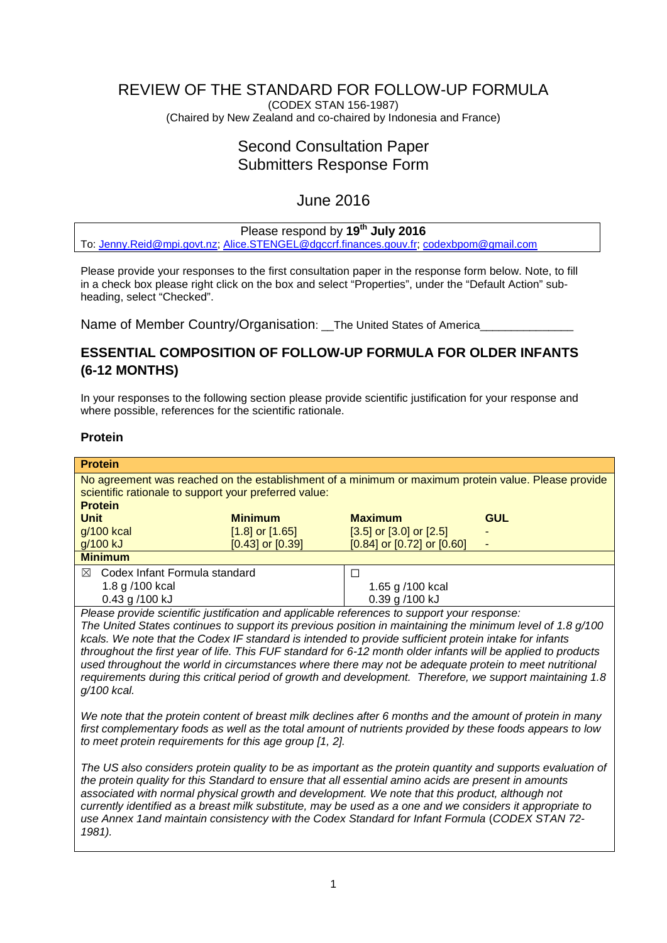# REVIEW OF THE STANDARD FOR FOLLOW-UP FORMULA

(CODEX STAN 156-1987) (Chaired by New Zealand and co-chaired by Indonesia and France)

# Second Consultation Paper Submitters Response Form

# June 2016

# Please respond by **19th July 2016**

To: [Jenny.Reid@mpi.govt.nz;](mailto:Jenny.Reid@mpi.govt.nz) [Alice.STENGEL@dgccrf.finances.gouv.fr;](mailto:Alice.STENGEL@dgccrf.finances.gouv.fr) [codexbpom@gmail.com](mailto:codexbpom@gmail.com)

Please provide your responses to the first consultation paper in the response form below. Note, to fill in a check box please right click on the box and select "Properties", under the "Default Action" subheading, select "Checked".

Name of Member Country/Organisation: The United States of America

# **ESSENTIAL COMPOSITION OF FOLLOW-UP FORMULA FOR OLDER INFANTS (6-12 MONTHS)**

In your responses to the following section please provide scientific justification for your response and where possible, references for the scientific rationale.

## **Protein**

| <b>Protein</b>                                                                                      |                      |                                  |            |  |  |
|-----------------------------------------------------------------------------------------------------|----------------------|----------------------------------|------------|--|--|
| No agreement was reached on the establishment of a minimum or maximum protein value. Please provide |                      |                                  |            |  |  |
| scientific rationale to support your preferred value:                                               |                      |                                  |            |  |  |
| <b>Protein</b>                                                                                      |                      |                                  |            |  |  |
| <b>Unit</b>                                                                                         | <b>Minimum</b>       | <b>Maximum</b>                   | <b>GUL</b> |  |  |
| g/100 kcal                                                                                          | $[1.8]$ or $[1.65]$  | $[3.5]$ or $[3.0]$ or $[2.5]$    |            |  |  |
| g/100 kJ                                                                                            | $[0.43]$ or $[0.39]$ | $[0.84]$ or $[0.72]$ or $[0.60]$ |            |  |  |
| <b>Minimum</b>                                                                                      |                      |                                  |            |  |  |
| Codex Infant Formula standard<br>⊠                                                                  |                      |                                  |            |  |  |
| 1.8 g /100 kcal                                                                                     |                      | 1.65 g /100 kcal                 |            |  |  |
| 0.43 g /100 kJ                                                                                      |                      | 0.39 g /100 kJ                   |            |  |  |
| Please provide scientific justification and applicable references to support your response:         |                      |                                  |            |  |  |

*The United States continues to support its previous position in maintaining the minimum level of 1.8 g/100 kcals. We note that the Codex IF standard is intended to provide sufficient protein intake for infants throughout the first year of life. This FUF standard for 6-12 month older infants will be applied to products used throughout the world in circumstances where there may not be adequate protein to meet nutritional requirements during this critical period of growth and development. Therefore, we support maintaining 1.8 g/100 kcal.*

*We note that the protein content of breast milk declines after 6 months and the amount of protein in many first complementary foods as well as the total amount of nutrients provided by these foods appears to low to meet protein requirements for this age group [1, 2].*

*The US also considers protein quality to be as important as the protein quantity and supports evaluation of the protein quality for this Standard to ensure that all essential amino acids are present in amounts associated with normal physical growth and development. We note that this product, although not currently identified as a breast milk substitute, may be used as a one and we considers it appropriate to use Annex 1and maintain consistency with the Codex Standard for Infant Formula* (*CODEX STAN 72- 1981).*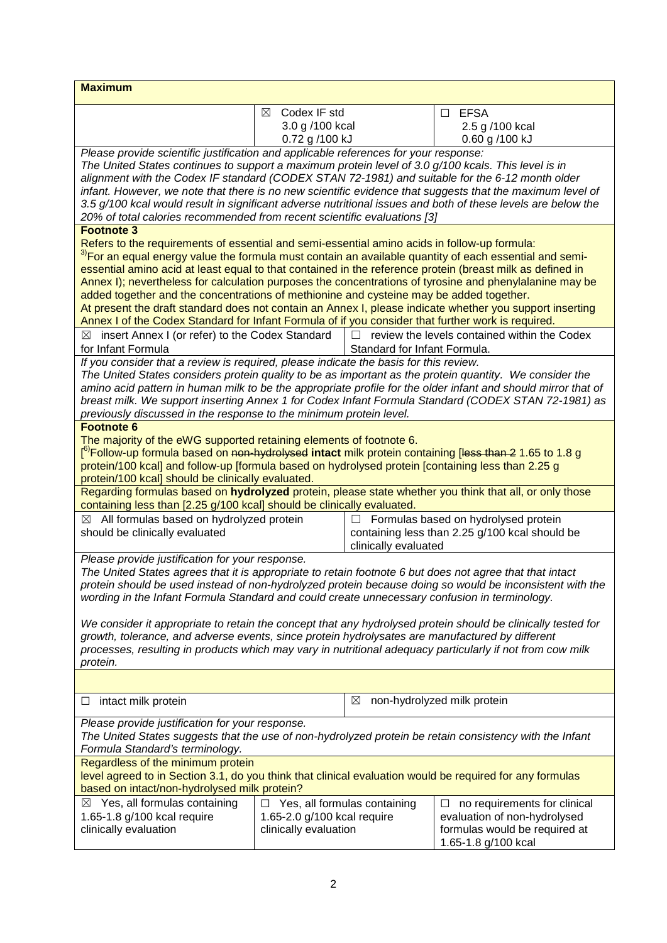| <b>Maximum</b>                                                                                                                                                                                                                                                                                                                                                                                                                                                                                                                                                                                                                                                                                                                                          |                                                                                                                                              |                              |                                                     |  |
|---------------------------------------------------------------------------------------------------------------------------------------------------------------------------------------------------------------------------------------------------------------------------------------------------------------------------------------------------------------------------------------------------------------------------------------------------------------------------------------------------------------------------------------------------------------------------------------------------------------------------------------------------------------------------------------------------------------------------------------------------------|----------------------------------------------------------------------------------------------------------------------------------------------|------------------------------|-----------------------------------------------------|--|
|                                                                                                                                                                                                                                                                                                                                                                                                                                                                                                                                                                                                                                                                                                                                                         | Codex IF std<br>⊠                                                                                                                            |                              | <b>EFSA</b><br>$\Box$                               |  |
|                                                                                                                                                                                                                                                                                                                                                                                                                                                                                                                                                                                                                                                                                                                                                         | 3.0 g /100 kcal                                                                                                                              |                              | 2.5 g /100 kcal                                     |  |
|                                                                                                                                                                                                                                                                                                                                                                                                                                                                                                                                                                                                                                                                                                                                                         | 0.72 g /100 kJ                                                                                                                               |                              | 0.60 g /100 kJ                                      |  |
| Please provide scientific justification and applicable references for your response:<br>The United States continues to support a maximum protein level of 3.0 g/100 kcals. This level is in<br>alignment with the Codex IF standard (CODEX STAN 72-1981) and suitable for the 6-12 month older<br>infant. However, we note that there is no new scientific evidence that suggests that the maximum level of<br>3.5 g/100 kcal would result in significant adverse nutritional issues and both of these levels are below the                                                                                                                                                                                                                             |                                                                                                                                              |                              |                                                     |  |
| 20% of total calories recommended from recent scientific evaluations [3]<br><b>Footnote 3</b>                                                                                                                                                                                                                                                                                                                                                                                                                                                                                                                                                                                                                                                           |                                                                                                                                              |                              |                                                     |  |
| Refers to the requirements of essential and semi-essential amino acids in follow-up formula:<br><sup>3)</sup> For an equal energy value the formula must contain an available quantity of each essential and semi-<br>essential amino acid at least equal to that contained in the reference protein (breast milk as defined in<br>Annex I); nevertheless for calculation purposes the concentrations of tyrosine and phenylalanine may be<br>added together and the concentrations of methionine and cysteine may be added together.<br>At present the draft standard does not contain an Annex I, please indicate whether you support inserting<br>Annex I of the Codex Standard for Infant Formula of if you consider that further work is required. |                                                                                                                                              |                              |                                                     |  |
| $\boxtimes$ insert Annex I (or refer) to the Codex Standard<br>for Infant Formula                                                                                                                                                                                                                                                                                                                                                                                                                                                                                                                                                                                                                                                                       |                                                                                                                                              | Standard for Infant Formula. | $\Box$ review the levels contained within the Codex |  |
| If you consider that a review is required, please indicate the basis for this review.<br>The United States considers protein quality to be as important as the protein quantity. We consider the<br>amino acid pattern in human milk to be the appropriate profile for the older infant and should mirror that of<br>breast milk. We support inserting Annex 1 for Codex Infant Formula Standard (CODEX STAN 72-1981) as<br>previously discussed in the response to the minimum protein level.                                                                                                                                                                                                                                                          |                                                                                                                                              |                              |                                                     |  |
| <b>Footnote 6</b>                                                                                                                                                                                                                                                                                                                                                                                                                                                                                                                                                                                                                                                                                                                                       |                                                                                                                                              |                              |                                                     |  |
| The majority of the eWG supported retaining elements of footnote 6.<br>[ <sup>6)</sup> Follow-up formula based on <del>non-hydrolysed</del> <b>intact</b> milk protein containing [ <del>less than 2</del> 1.65 to 1.8 g<br>protein/100 kcal] and follow-up [formula based on hydrolysed protein [containing less than 2.25 g<br>protein/100 kcal] should be clinically evaluated.                                                                                                                                                                                                                                                                                                                                                                      |                                                                                                                                              |                              |                                                     |  |
| Regarding formulas based on hydrolyzed protein, please state whether you think that all, or only those<br>containing less than [2.25 g/100 kcal] should be clinically evaluated.                                                                                                                                                                                                                                                                                                                                                                                                                                                                                                                                                                        |                                                                                                                                              |                              |                                                     |  |
| $\boxtimes$ All formulas based on hydrolyzed protein<br>$\Box$ Formulas based on hydrolysed protein<br>should be clinically evaluated<br>containing less than 2.25 g/100 kcal should be<br>clinically evaluated                                                                                                                                                                                                                                                                                                                                                                                                                                                                                                                                         |                                                                                                                                              |                              |                                                     |  |
| Please provide justification for your response.<br>The United States agrees that it is appropriate to retain footnote 6 but does not agree that that intact<br>protein should be used instead of non-hydrolyzed protein because doing so would be inconsistent with the<br>wording in the Infant Formula Standard and could create unnecessary confusion in terminology.<br>We consider it appropriate to retain the concept that any hydrolysed protein should be clinically tested for<br>growth, tolerance, and adverse events, since protein hydrolysates are manufactured by different                                                                                                                                                             |                                                                                                                                              |                              |                                                     |  |
| processes, resulting in products which may vary in nutritional adequacy particularly if not from cow milk<br>protein.                                                                                                                                                                                                                                                                                                                                                                                                                                                                                                                                                                                                                                   |                                                                                                                                              |                              |                                                     |  |
|                                                                                                                                                                                                                                                                                                                                                                                                                                                                                                                                                                                                                                                                                                                                                         |                                                                                                                                              |                              |                                                     |  |
| non-hydrolyzed milk protein<br>⊠<br>intact milk protein<br>⊔                                                                                                                                                                                                                                                                                                                                                                                                                                                                                                                                                                                                                                                                                            |                                                                                                                                              |                              |                                                     |  |
| Please provide justification for your response.<br>The United States suggests that the use of non-hydrolyzed protein be retain consistency with the Infant<br>Formula Standard's terminology.                                                                                                                                                                                                                                                                                                                                                                                                                                                                                                                                                           |                                                                                                                                              |                              |                                                     |  |
| Regardless of the minimum protein<br>level agreed to in Section 3.1, do you think that clinical evaluation would be required for any formulas<br>based on intact/non-hydrolysed milk protein?                                                                                                                                                                                                                                                                                                                                                                                                                                                                                                                                                           |                                                                                                                                              |                              |                                                     |  |
| $\boxtimes$ Yes, all formulas containing                                                                                                                                                                                                                                                                                                                                                                                                                                                                                                                                                                                                                                                                                                                | $\Box$ Yes, all formulas containing<br>no requirements for clinical<br>ப                                                                     |                              |                                                     |  |
| 1.65-1.8 g/100 kcal require<br>clinically evaluation                                                                                                                                                                                                                                                                                                                                                                                                                                                                                                                                                                                                                                                                                                    | 1.65-2.0 g/100 kcal require<br>evaluation of non-hydrolysed<br>clinically evaluation<br>formulas would be required at<br>1.65-1.8 g/100 kcal |                              |                                                     |  |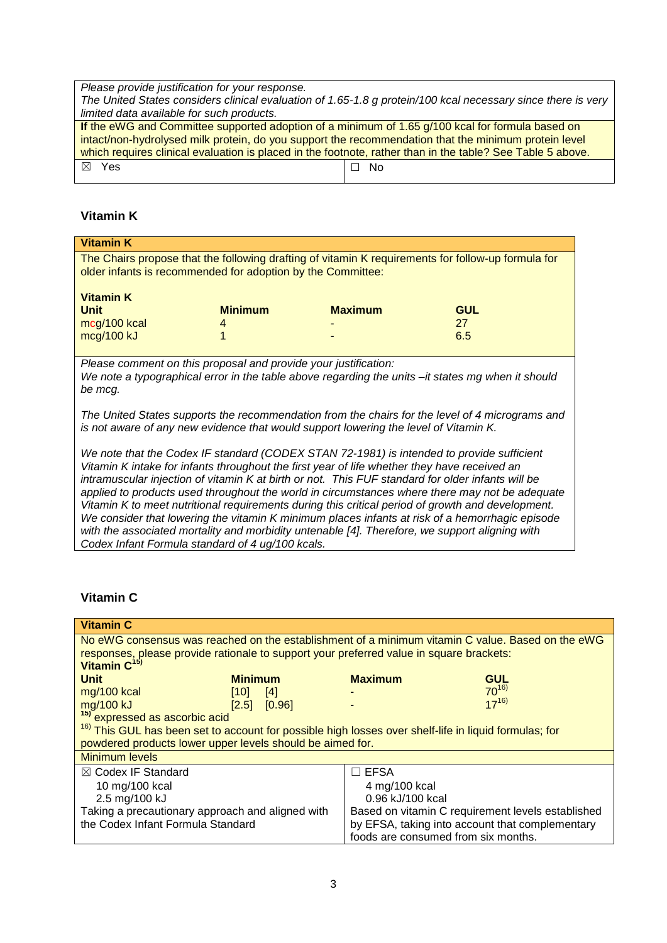*Please provide justification for your response. The United States considers clinical evaluation of 1.65-1.8 g protein/100 kcal necessary since there is very limited data available for such products.*

| If the eWG and Committee supported adoption of a minimum of 1.65 g/100 kcal for formula based on           |        |  |  |  |
|------------------------------------------------------------------------------------------------------------|--------|--|--|--|
| intact/non-hydrolysed milk protein, do you support the recommendation that the minimum protein level       |        |  |  |  |
| which requires clinical evaluation is placed in the footnote, rather than in the table? See Table 5 above. |        |  |  |  |
| $\boxtimes$ Yes                                                                                            | I ⊟ No |  |  |  |

# **Vitamin K**

| <b>Vitamin K</b>                                                                                                                                                                                                                                                                                                                                                                                                                                                                                      |                |                |            |  |
|-------------------------------------------------------------------------------------------------------------------------------------------------------------------------------------------------------------------------------------------------------------------------------------------------------------------------------------------------------------------------------------------------------------------------------------------------------------------------------------------------------|----------------|----------------|------------|--|
| The Chairs propose that the following drafting of vitamin K requirements for follow-up formula for<br>older infants is recommended for adoption by the Committee:                                                                                                                                                                                                                                                                                                                                     |                |                |            |  |
| <b>Vitamin K</b>                                                                                                                                                                                                                                                                                                                                                                                                                                                                                      |                |                |            |  |
| <b>Unit</b>                                                                                                                                                                                                                                                                                                                                                                                                                                                                                           | <b>Minimum</b> | <b>Maximum</b> | <b>GUL</b> |  |
| mcg/100 kcal                                                                                                                                                                                                                                                                                                                                                                                                                                                                                          | 4              |                | 27         |  |
| mcg/100 kJ                                                                                                                                                                                                                                                                                                                                                                                                                                                                                            |                |                | 6.5        |  |
|                                                                                                                                                                                                                                                                                                                                                                                                                                                                                                       |                |                |            |  |
| Please comment on this proposal and provide your justification:<br>We note a typographical error in the table above regarding the units -it states mg when it should<br>be mcg.                                                                                                                                                                                                                                                                                                                       |                |                |            |  |
| The United States supports the recommendation from the chairs for the level of 4 micrograms and<br>is not aware of any new evidence that would support lowering the level of Vitamin K.                                                                                                                                                                                                                                                                                                               |                |                |            |  |
| We note that the Codex IF standard (CODEX STAN 72-1981) is intended to provide sufficient<br>Vitamin K intake for infants throughout the first year of life whether they have received an<br>intramuscular injection of vitamin K at birth or not. This FUF standard for older infants will be<br>applied to products used throughout the world in circumstances where there may not be adequate<br>Vitamin K to meet nutritional requirements during this critical period of growth and development. |                |                |            |  |

*We consider that lowering the vitamin K minimum places infants at risk of a hemorrhagic episode with the associated mortality and morbidity untenable [4]. Therefore, we support aligning with* 

# **Vitamin C**

*Codex Infant Formula standard of 4 ug/100 kcals.*

| <b>Vitamin C</b>                                                                                                 |                |        |                  |                                                                                                  |
|------------------------------------------------------------------------------------------------------------------|----------------|--------|------------------|--------------------------------------------------------------------------------------------------|
|                                                                                                                  |                |        |                  | No eWG consensus was reached on the establishment of a minimum vitamin C value. Based on the eWG |
| responses, please provide rationale to support your preferred value in square brackets:                          |                |        |                  |                                                                                                  |
| Vitamin C <sup>15)</sup>                                                                                         |                |        |                  |                                                                                                  |
| <b>Unit</b>                                                                                                      | <b>Minimum</b> |        | <b>Maximum</b>   | <b>GUL</b>                                                                                       |
| mg/100 kcal                                                                                                      | [10]           | $[4]$  |                  | $70^{16}$                                                                                        |
| mg/100 kJ                                                                                                        | [2.5]          | [0.96] |                  | $17^{16}$                                                                                        |
| <sup>15)</sup> expressed as ascorbic acid                                                                        |                |        |                  |                                                                                                  |
| <sup>16)</sup> This GUL has been set to account for possible high losses over shelf-life in liquid formulas; for |                |        |                  |                                                                                                  |
| powdered products lower upper levels should be aimed for.                                                        |                |        |                  |                                                                                                  |
| <b>Minimum levels</b>                                                                                            |                |        |                  |                                                                                                  |
| $\boxtimes$ Codex IF Standard                                                                                    |                |        | $\sqsupset$ EFSA |                                                                                                  |
| 10 mg/100 kcal                                                                                                   |                |        | 4 mg/100 kcal    |                                                                                                  |
| 2.5 mg/100 kJ                                                                                                    |                |        | 0.96 kJ/100 kcal |                                                                                                  |
| Taking a precautionary approach and aligned with                                                                 |                |        |                  | Based on vitamin C requirement levels established                                                |
| the Codex Infant Formula Standard                                                                                |                |        |                  | by EFSA, taking into account that complementary                                                  |
|                                                                                                                  |                |        |                  | foods are consumed from six months.                                                              |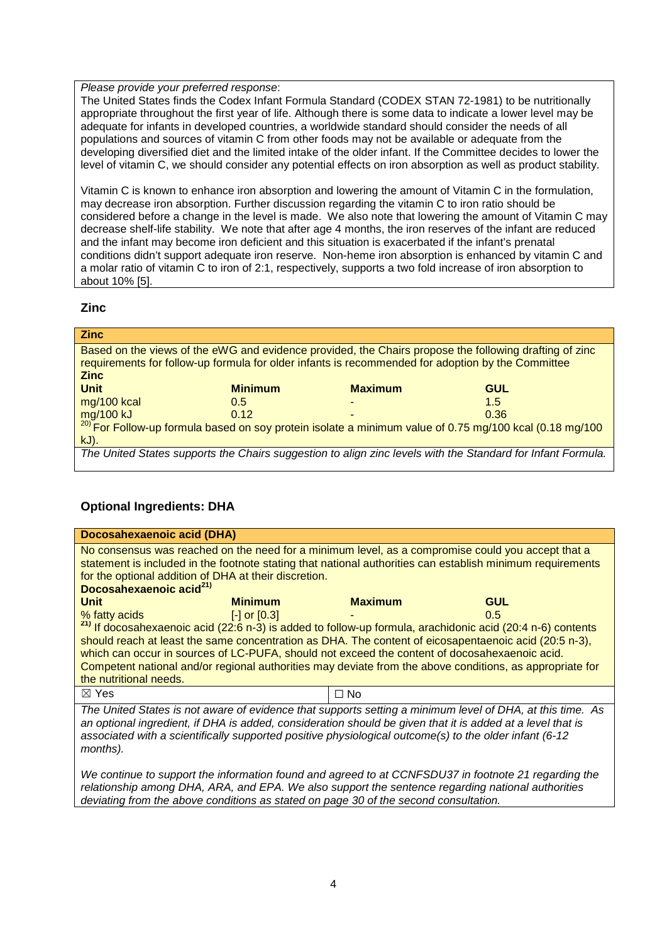#### *Please provide your preferred response*:

The United States finds the Codex Infant Formula Standard (CODEX STAN 72-1981) to be nutritionally appropriate throughout the first year of life. Although there is some data to indicate a lower level may be adequate for infants in developed countries, a worldwide standard should consider the needs of all populations and sources of vitamin C from other foods may not be available or adequate from the developing diversified diet and the limited intake of the older infant. If the Committee decides to lower the level of vitamin C, we should consider any potential effects on iron absorption as well as product stability.

Vitamin C is known to enhance iron absorption and lowering the amount of Vitamin C in the formulation, may decrease iron absorption. Further discussion regarding the vitamin C to iron ratio should be considered before a change in the level is made. We also note that lowering the amount of Vitamin C may decrease shelf-life stability. We note that after age 4 months, the iron reserves of the infant are reduced and the infant may become iron deficient and this situation is exacerbated if the infant's prenatal conditions didn't support adequate iron reserve. Non-heme iron absorption is enhanced by vitamin C and a molar ratio of vitamin C to iron of 2:1, respectively, supports a two fold increase of iron absorption to about 10% [5].

#### **Zinc**

| <b>Zinc</b>                                                                                                                        |                |                          |            |  |
|------------------------------------------------------------------------------------------------------------------------------------|----------------|--------------------------|------------|--|
| Based on the views of the eWG and evidence provided, the Chairs propose the following drafting of zinc                             |                |                          |            |  |
| requirements for follow-up formula for older infants is recommended for adoption by the Committee                                  |                |                          |            |  |
| <b>Zinc</b>                                                                                                                        |                |                          |            |  |
| <b>Unit</b>                                                                                                                        | <b>Minimum</b> | <b>Maximum</b>           | <b>GUL</b> |  |
| mg/100 kcal                                                                                                                        | 0.5            | $\overline{\phantom{a}}$ | 1.5        |  |
|                                                                                                                                    |                |                          |            |  |
| $\frac{mg/100 \text{ kJ}}{20}$ For Follow-up formula based on soy protein isolate a minimum value of 0.75 mg/100 kcal (0.18 mg/100 |                |                          |            |  |
| $kJ$ ).                                                                                                                            |                |                          |            |  |
| The United States supports the Chairs suggestion to align zinc levels with the Standard for Infant Formula.                        |                |                          |            |  |
|                                                                                                                                    |                |                          |            |  |

# **Optional Ingredients: DHA**

|                                                                                                                                                                                                                                                                                                                                               | Docosahexaenoic acid (DHA)               |                |                                                                                                                                                                                                                                                                                                                                                                                                                                                    |  |  |
|-----------------------------------------------------------------------------------------------------------------------------------------------------------------------------------------------------------------------------------------------------------------------------------------------------------------------------------------------|------------------------------------------|----------------|----------------------------------------------------------------------------------------------------------------------------------------------------------------------------------------------------------------------------------------------------------------------------------------------------------------------------------------------------------------------------------------------------------------------------------------------------|--|--|
| No consensus was reached on the need for a minimum level, as a compromise could you accept that a<br>statement is included in the footnote stating that national authorities can establish minimum requirements<br>for the optional addition of DHA at their discretion.<br>Docosahexaenoic acid <sup>21)</sup>                               |                                          |                |                                                                                                                                                                                                                                                                                                                                                                                                                                                    |  |  |
| <b>Unit</b>                                                                                                                                                                                                                                                                                                                                   | <b>Minimum</b>                           | <b>Maximum</b> | <b>GUL</b>                                                                                                                                                                                                                                                                                                                                                                                                                                         |  |  |
| % fatty acids and the state of the state of the state of the state of the state of the state of the state of the state of the state of the state of the state of the state of the state of the state of the state of the state<br>the nutritional needs.                                                                                      | $\lceil - \rceil$ or $\lceil 0.3 \rceil$ |                | 0.5<br><sup>21)</sup> If docosahexaenoic acid (22:6 n-3) is added to follow-up formula, arachidonic acid (20:4 n-6) contents<br>should reach at least the same concentration as DHA. The content of eicosapentaenoic acid (20:5 n-3),<br>which can occur in sources of LC-PUFA, should not exceed the content of docosahexaenoic acid.<br>Competent national and/or regional authorities may deviate from the above conditions, as appropriate for |  |  |
| $\boxtimes$ Yes                                                                                                                                                                                                                                                                                                                               |                                          | $\Box$ No      |                                                                                                                                                                                                                                                                                                                                                                                                                                                    |  |  |
| The United States is not aware of evidence that supports setting a minimum level of DHA, at this time. As<br>an optional ingredient, if DHA is added, consideration should be given that it is added at a level that is<br>associated with a scientifically supported positive physiological outcome(s) to the older infant (6-12<br>months). |                                          |                |                                                                                                                                                                                                                                                                                                                                                                                                                                                    |  |  |
| We continue to support the information found and agreed to at CCNFSDU37 in footnote 21 regarding the<br>relationship among DHA, ARA, and EPA. We also support the sentence regarding national authorities                                                                                                                                     |                                          |                |                                                                                                                                                                                                                                                                                                                                                                                                                                                    |  |  |

*deviating from the above conditions as stated on page 30 of the second consultation.*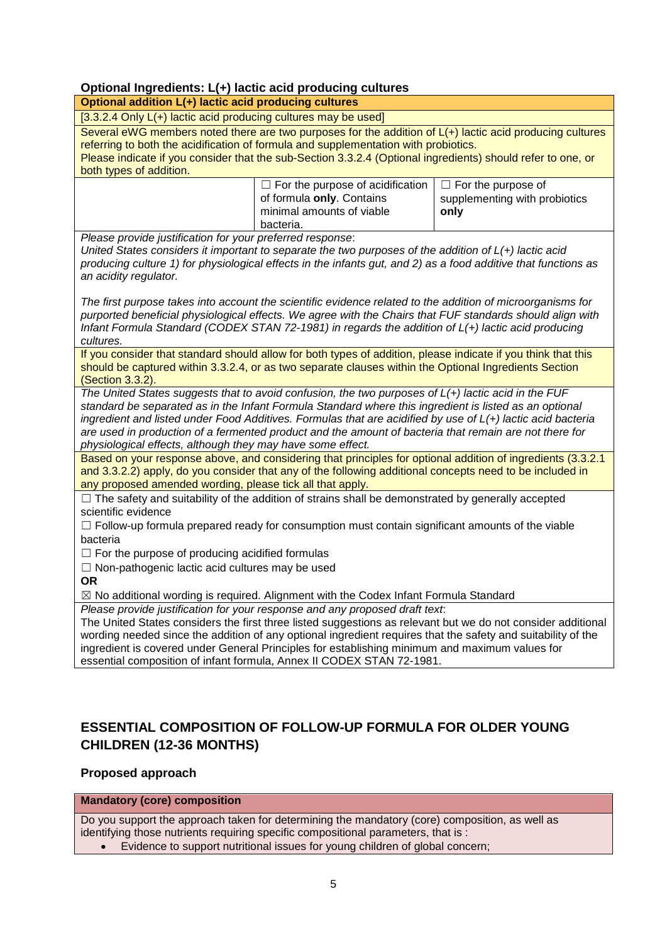# **Optional Ingredients: L(+) lactic acid producing cultures**

| Optional ingredients: L(+) lactic acid producing cultures<br>Optional addition L(+) lactic acid producing cultures                                                                                             |                                                                                                                |                               |  |  |
|----------------------------------------------------------------------------------------------------------------------------------------------------------------------------------------------------------------|----------------------------------------------------------------------------------------------------------------|-------------------------------|--|--|
|                                                                                                                                                                                                                |                                                                                                                |                               |  |  |
| [3.3.2.4 Only L(+) lactic acid producing cultures may be used]<br>Several eWG members noted there are two purposes for the addition of L(+) lactic acid producing cultures                                     |                                                                                                                |                               |  |  |
|                                                                                                                                                                                                                | referring to both the acidification of formula and supplementation with probiotics.                            |                               |  |  |
| both types of addition.                                                                                                                                                                                        | Please indicate if you consider that the sub-Section 3.3.2.4 (Optional ingredients) should refer to one, or    |                               |  |  |
|                                                                                                                                                                                                                | $\Box$ For the purpose of acidification                                                                        | $\Box$ For the purpose of     |  |  |
|                                                                                                                                                                                                                | of formula only. Contains                                                                                      | supplementing with probiotics |  |  |
|                                                                                                                                                                                                                | minimal amounts of viable                                                                                      | only                          |  |  |
|                                                                                                                                                                                                                | bacteria.                                                                                                      |                               |  |  |
| Please provide justification for your preferred response:                                                                                                                                                      |                                                                                                                |                               |  |  |
|                                                                                                                                                                                                                | United States considers it important to separate the two purposes of the addition of $L(+)$ lactic acid        |                               |  |  |
| an acidity regulator.                                                                                                                                                                                          | producing culture 1) for physiological effects in the infants gut, and 2) as a food additive that functions as |                               |  |  |
|                                                                                                                                                                                                                |                                                                                                                |                               |  |  |
|                                                                                                                                                                                                                | The first purpose takes into account the scientific evidence related to the addition of microorganisms for     |                               |  |  |
|                                                                                                                                                                                                                | purported beneficial physiological effects. We agree with the Chairs that FUF standards should align with      |                               |  |  |
|                                                                                                                                                                                                                | Infant Formula Standard (CODEX STAN 72-1981) in regards the addition of L(+) lactic acid producing             |                               |  |  |
| cultures.                                                                                                                                                                                                      |                                                                                                                |                               |  |  |
|                                                                                                                                                                                                                | If you consider that standard should allow for both types of addition, please indicate if you think that this  |                               |  |  |
| (Section 3.3.2).                                                                                                                                                                                               | should be captured within 3.3.2.4, or as two separate clauses within the Optional Ingredients Section          |                               |  |  |
| The United States suggests that to avoid confusion, the two purposes of $L(+)$ lactic acid in the FUF                                                                                                          |                                                                                                                |                               |  |  |
| standard be separated as in the Infant Formula Standard where this ingredient is listed as an optional                                                                                                         |                                                                                                                |                               |  |  |
| ingredient and listed under Food Additives. Formulas that are acidified by use of L(+) lactic acid bacteria                                                                                                    |                                                                                                                |                               |  |  |
| are used in production of a fermented product and the amount of bacteria that remain are not there for                                                                                                         |                                                                                                                |                               |  |  |
| physiological effects, although they may have some effect.                                                                                                                                                     |                                                                                                                |                               |  |  |
| Based on your response above, and considering that principles for optional addition of ingredients (3.3.2.1                                                                                                    |                                                                                                                |                               |  |  |
| and 3.3.2.2) apply, do you consider that any of the following additional concepts need to be included in<br>any proposed amended wording, please tick all that apply.                                          |                                                                                                                |                               |  |  |
| $\Box$ The safety and suitability of the addition of strains shall be demonstrated by generally accepted                                                                                                       |                                                                                                                |                               |  |  |
| scientific evidence                                                                                                                                                                                            |                                                                                                                |                               |  |  |
| $\Box$ Follow-up formula prepared ready for consumption must contain significant amounts of the viable                                                                                                         |                                                                                                                |                               |  |  |
| bacteria                                                                                                                                                                                                       |                                                                                                                |                               |  |  |
| $\Box$ For the purpose of producing acidified formulas                                                                                                                                                         |                                                                                                                |                               |  |  |
| $\Box$ Non-pathogenic lactic acid cultures may be used                                                                                                                                                         |                                                                                                                |                               |  |  |
| <b>OR</b>                                                                                                                                                                                                      |                                                                                                                |                               |  |  |
| ⊠ No additional wording is required. Alignment with the Codex Infant Formula Standard                                                                                                                          |                                                                                                                |                               |  |  |
| Please provide justification for your response and any proposed draft text.                                                                                                                                    |                                                                                                                |                               |  |  |
| The United States considers the first three listed suggestions as relevant but we do not consider additional                                                                                                   |                                                                                                                |                               |  |  |
| wording needed since the addition of any optional ingredient requires that the safety and suitability of the<br>ingredient is covered under General Principles for establishing minimum and maximum values for |                                                                                                                |                               |  |  |
| essential composition of infant formula, Annex II CODEX STAN 72-1981.                                                                                                                                          |                                                                                                                |                               |  |  |
|                                                                                                                                                                                                                |                                                                                                                |                               |  |  |

# **ESSENTIAL COMPOSITION OF FOLLOW-UP FORMULA FOR OLDER YOUNG CHILDREN (12-36 MONTHS)**

# **Proposed approach**

# **Mandatory (core) composition**

Do you support the approach taken for determining the mandatory (core) composition, as well as identifying those nutrients requiring specific compositional parameters, that is :

• Evidence to support nutritional issues for young children of global concern;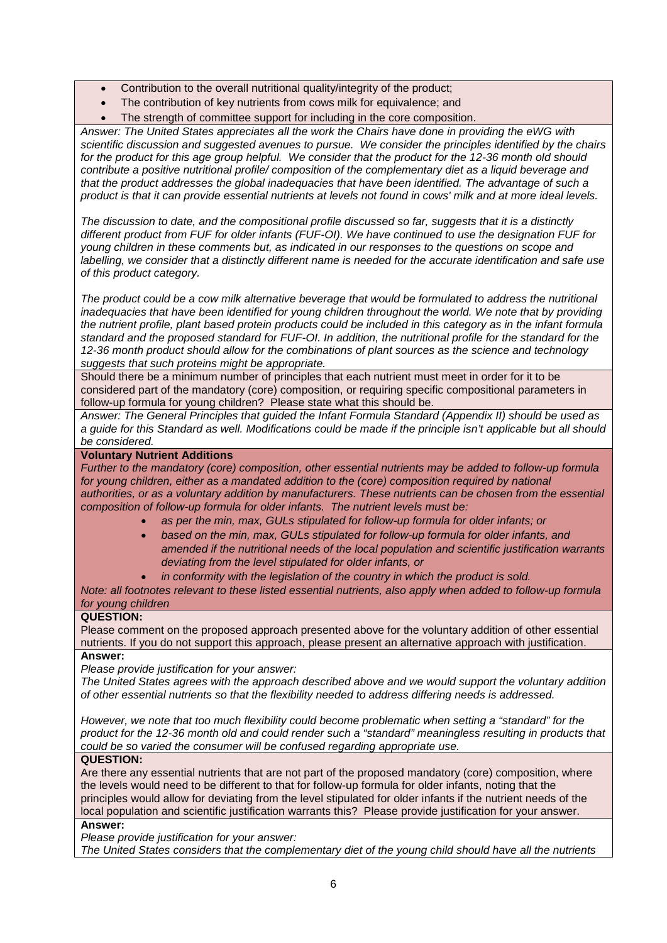- Contribution to the overall nutritional quality/integrity of the product;
- The contribution of key nutrients from cows milk for equivalence; and
- The strength of committee support for including in the core composition.

*Answer: The United States appreciates all the work the Chairs have done in providing the eWG with scientific discussion and suggested avenues to pursue. We consider the principles identified by the chairs*  for the product for this age group helpful. We consider that the product for the 12-36 month old should *contribute a positive nutritional profile/ composition of the complementary diet as a liquid beverage and that the product addresses the global inadequacies that have been identified. The advantage of such a product is that it can provide essential nutrients at levels not found in cows' milk and at more ideal levels.*

*The discussion to date, and the compositional profile discussed so far, suggests that it is a distinctly different product from FUF for older infants (FUF-OI). We have continued to use the designation FUF for young children in these comments but, as indicated in our responses to the questions on scope and labelling, we consider that a distinctly different name is needed for the accurate identification and safe use of this product category.* 

*The product could be a cow milk alternative beverage that would be formulated to address the nutritional inadequacies that have been identified for young children throughout the world. We note that by providing the nutrient profile, plant based protein products could be included in this category as in the infant formula standard and the proposed standard for FUF-OI. In addition, the nutritional profile for the standard for the 12-36 month product should allow for the combinations of plant sources as the science and technology suggests that such proteins might be appropriate.*

Should there be a minimum number of principles that each nutrient must meet in order for it to be considered part of the mandatory (core) composition, or requiring specific compositional parameters in follow-up formula for young children? Please state what this should be.

Answer: The General Principles that guided the Infant Formula Standard (Appendix II) should be used as *a guide for this Standard as well. Modifications could be made if the principle isn't applicable but all should be considered.*

#### **Voluntary Nutrient Additions**

*Further to the mandatory (core) composition, other essential nutrients may be added to follow-up formula*  for young children, either as a mandated addition to the (core) composition required by national *authorities, or as a voluntary addition by manufacturers. These nutrients can be chosen from the essential composition of follow-up formula for older infants. The nutrient levels must be:*

- *as per the min, max, GULs stipulated for follow-up formula for older infants; or*
- *based on the min, max, GULs stipulated for follow-up formula for older infants, and amended if the nutritional needs of the local population and scientific justification warrants deviating from the level stipulated for older infants, or*
- *in conformity with the legislation of the country in which the product is sold.*

*Note: all footnotes relevant to these listed essential nutrients, also apply when added to follow-up formula for young children*

#### **QUESTION:**

Please comment on the proposed approach presented above for the voluntary addition of other essential nutrients. If you do not support this approach, please present an alternative approach with justification. **Answer:**

*Please provide justification for your answer:*

*The United States agrees with the approach described above and we would support the voluntary addition of other essential nutrients so that the flexibility needed to address differing needs is addressed.* 

*However, we note that too much flexibility could become problematic when setting a "standard" for the product for the 12-36 month old and could render such a "standard" meaningless resulting in products that could be so varied the consumer will be confused regarding appropriate use.*

#### **QUESTION:**

Are there any essential nutrients that are not part of the proposed mandatory (core) composition, where the levels would need to be different to that for follow-up formula for older infants, noting that the principles would allow for deviating from the level stipulated for older infants if the nutrient needs of the local population and scientific justification warrants this? Please provide justification for your answer. **Answer:**

*Please provide justification for your answer:*

*The United States considers that the complementary diet of the young child should have all the nutrients*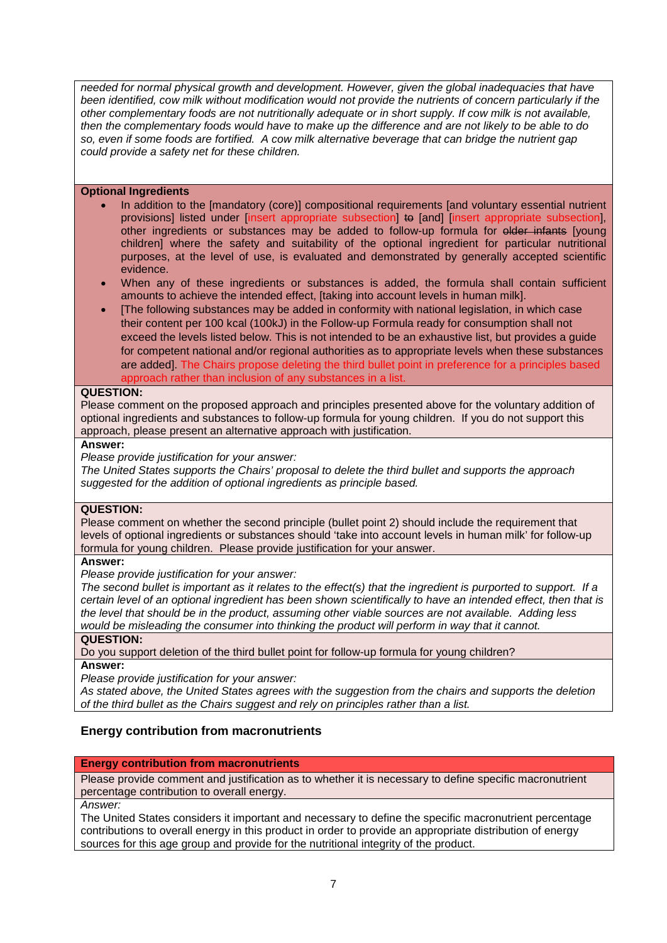*needed for normal physical growth and development. However, given the global inadequacies that have been identified, cow milk without modification would not provide the nutrients of concern particularly if the other complementary foods are not nutritionally adequate or in short supply. If cow milk is not available, then the complementary foods would have to make up the difference and are not likely to be able to do so, even if some foods are fortified. A cow milk alternative beverage that can bridge the nutrient gap could provide a safety net for these children.*

#### **Optional Ingredients**

- In addition to the [mandatory (core)] compositional requirements [and voluntary essential nutrient provisions] listed under [insert appropriate subsection] to [and] [insert appropriate subsection], other ingredients or substances may be added to follow-up formula for older infants [young children] where the safety and suitability of the optional ingredient for particular nutritional purposes, at the level of use, is evaluated and demonstrated by generally accepted scientific evidence.
- When any of these ingredients or substances is added, the formula shall contain sufficient amounts to achieve the intended effect, [taking into account levels in human milk].
- [The following substances may be added in conformity with national legislation, in which case their content per 100 kcal (100kJ) in the Follow-up Formula ready for consumption shall not exceed the levels listed below. This is not intended to be an exhaustive list, but provides a guide for competent national and/or regional authorities as to appropriate levels when these substances are added]. The Chairs propose deleting the third bullet point in preference for a principles based approach rather than inclusion of any substances in a list.

#### **QUESTION:**

Please comment on the proposed approach and principles presented above for the voluntary addition of optional ingredients and substances to follow-up formula for young children. If you do not support this approach, please present an alternative approach with justification.

#### **Answer:**

*Please provide justification for your answer:*

*The United States supports the Chairs' proposal to delete the third bullet and supports the approach suggested for the addition of optional ingredients as principle based.*

#### **QUESTION:**

Please comment on whether the second principle (bullet point 2) should include the requirement that levels of optional ingredients or substances should 'take into account levels in human milk' for follow-up formula for young children. Please provide justification for your answer.

**Answer:**

*Please provide justification for your answer:* 

*The second bullet is important as it relates to the effect(s) that the ingredient is purported to support. If a certain level of an optional ingredient has been shown scientifically to have an intended effect, then that is the level that should be in the product, assuming other viable sources are not available. Adding less would be misleading the consumer into thinking the product will perform in way that it cannot.*

#### **QUESTION:**

Do you support deletion of the third bullet point for follow-up formula for young children? **Answer:**

*Please provide justification for your answer:* 

*As stated above, the United States agrees with the suggestion from the chairs and supports the deletion of the third bullet as the Chairs suggest and rely on principles rather than a list.* 

### **Energy contribution from macronutrients**

#### **Energy contribution from macronutrients**

Please provide comment and justification as to whether it is necessary to define specific macronutrient percentage contribution to overall energy.

*Answer:*

The United States considers it important and necessary to define the specific macronutrient percentage contributions to overall energy in this product in order to provide an appropriate distribution of energy sources for this age group and provide for the nutritional integrity of the product.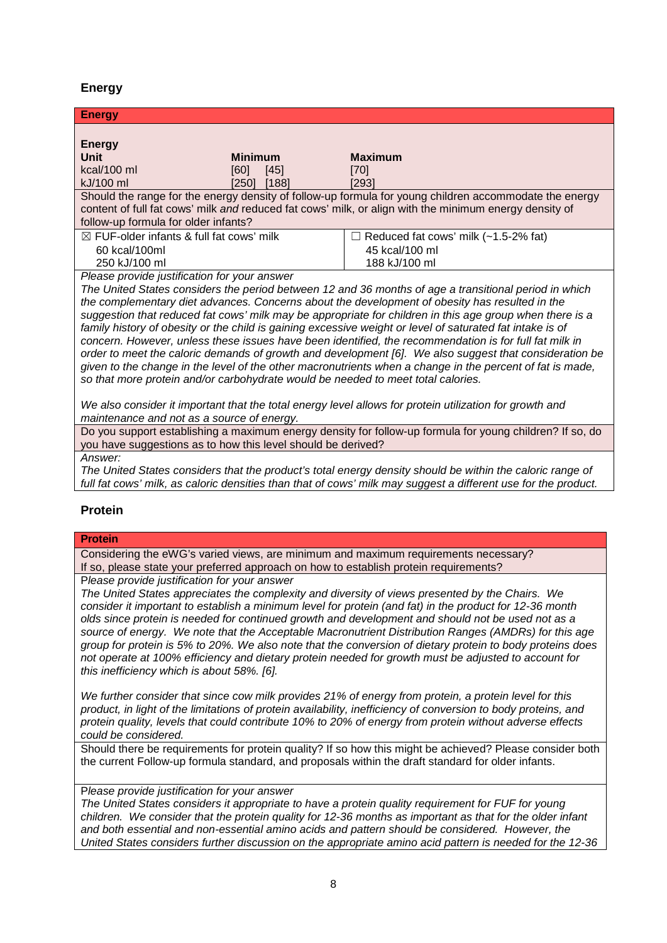## **Energy**

| <b>Energy</b>                                       |                                 |               |                                                                                                                                               |
|-----------------------------------------------------|---------------------------------|---------------|-----------------------------------------------------------------------------------------------------------------------------------------------|
| <b>Energy</b><br>Unit<br>$kcal/100$ ml<br>kJ/100 ml | <b>Minimum</b><br>[60]<br>[250] | [45]<br>[188] | <b>Maximum</b><br>$[70]$<br>$[293]$<br>Should the range for the energy density of follow-up formula for young children accommodate the energy |
|                                                     |                                 |               | content of full fat cows' milk and reduced fat cows' milk, or align with the minimum energy density of                                        |
| follow-up formula for older infants?                |                                 |               |                                                                                                                                               |
| $\boxtimes$ FUF-older infants & full fat cows' milk |                                 |               | $\Box$ Reduced fat cows' milk (~1.5-2% fat)                                                                                                   |
| 60 kcal/100ml                                       |                                 |               | 45 kcal/100 ml                                                                                                                                |
| 250 kJ/100 ml                                       |                                 |               | 188 kJ/100 ml                                                                                                                                 |
| Please provide iustification for your answer        |                                 |               |                                                                                                                                               |

*Please provide justification for your answer*

*The United States considers the period between 12 and 36 months of age a transitional period in which the complementary diet advances. Concerns about the development of obesity has resulted in the suggestion that reduced fat cows' milk may be appropriate for children in this age group when there is a*  family history of obesity or the child is gaining excessive weight or level of saturated fat intake is of *concern. However, unless these issues have been identified, the recommendation is for full fat milk in order to meet the caloric demands of growth and development [6]. We also suggest that consideration be given to the change in the level of the other macronutrients when a change in the percent of fat is made, so that more protein and/or carbohydrate would be needed to meet total calories.* 

*We also consider it important that the total energy level allows for protein utilization for growth and maintenance and not as a source of energy.*

Do you support establishing a maximum energy density for follow-up formula for young children? If so, do you have suggestions as to how this level should be derived?

*Answer:*

*The United States considers that the product's total energy density should be within the caloric range of full fat cows' milk, as caloric densities than that of cows' milk may suggest a different use for the product.*

### **Protein**

#### **Protein**

Considering the eWG's varied views, are minimum and maximum requirements necessary? If so, please state your preferred approach on how to establish protein requirements?

P*lease provide justification for your answer*

*The United States appreciates the complexity and diversity of views presented by the Chairs. We consider it important to establish a minimum level for protein (and fat) in the product for 12-36 month olds since protein is needed for continued growth and development and should not be used not as a source of energy. We note that the Acceptable Macronutrient Distribution Ranges (AMDRs) for this age group for protein is 5% to 20%. We also note that the conversion of dietary protein to body proteins does not operate at 100% efficiency and dietary protein needed for growth must be adjusted to account for this inefficiency which is about 58%. [6].* 

*We further consider that since cow milk provides 21% of energy from protein, a protein level for this product, in light of the limitations of protein availability, inefficiency of conversion to body proteins, and protein quality, levels that could contribute 10% to 20% of energy from protein without adverse effects could be considered.*

Should there be requirements for protein quality? If so how this might be achieved? Please consider both the current Follow-up formula standard, and proposals within the draft standard for older infants.

### P*lease provide justification for your answer*

*The United States considers it appropriate to have a protein quality requirement for FUF for young children. We consider that the protein quality for 12-36 months as important as that for the older infant and both essential and non-essential amino acids and pattern should be considered. However, the United States considers further discussion on the appropriate amino acid pattern is needed for the 12-36*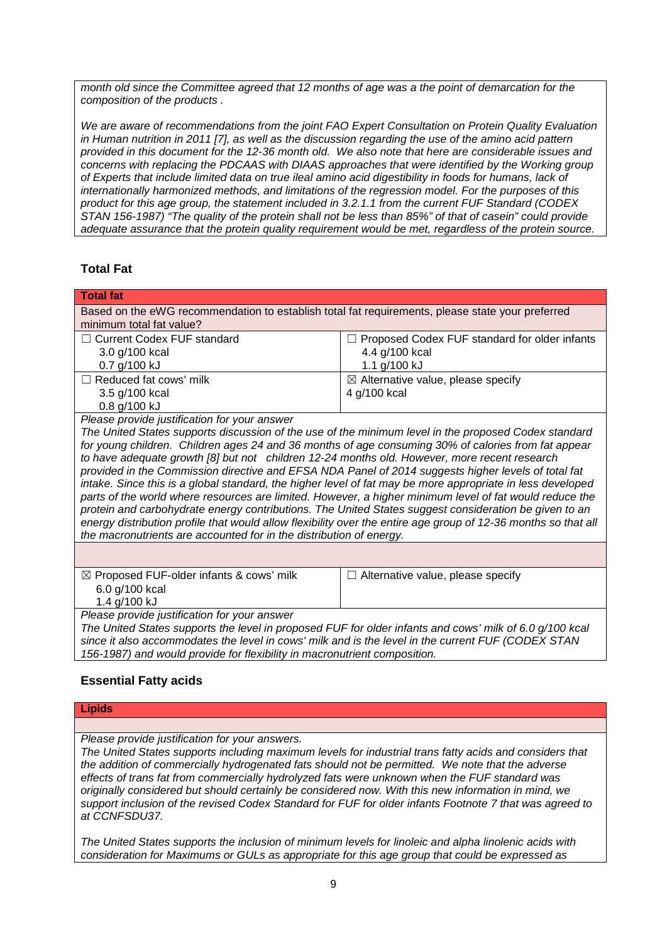*month old since the Committee agreed that 12 months of age was a the point of demarcation for the composition of the products .*

*We are aware of recommendations from the joint FAO Expert Consultation on Protein Quality Evaluation in Human nutrition in 2011 [7], as well as the discussion regarding the use of the amino acid pattern provided in this document for the 12-36 month old. We also note that here are considerable issues and concerns with replacing the PDCAAS with DIAAS approaches that were identified by the Working group of Experts that include limited data on true ileal amino acid digestibility in foods for humans, lack of internationally harmonized methods, and limitations of the regression model. For the purposes of this product for this age group, the statement included in 3.2.1.1 from the current FUF Standard (CODEX STAN 156-1987) "The quality of the protein shall not be less than 85%" of that of casein" could provide adequate assurance that the protein quality requirement would be met, regardless of the protein source.*

# **Total Fat**

| <b>Total fat</b>                                                                                               |                                                 |  |  |  |
|----------------------------------------------------------------------------------------------------------------|-------------------------------------------------|--|--|--|
| Based on the eWG recommendation to establish total fat requirements, please state your preferred               |                                                 |  |  |  |
| minimum total fat value?                                                                                       |                                                 |  |  |  |
| <b>Current Codex FUF standard</b>                                                                              | □ Proposed Codex FUF standard for older infants |  |  |  |
| 3.0 g/100 kcal                                                                                                 | 4.4 g/100 kcal                                  |  |  |  |
| 0.7 g/100 kJ                                                                                                   | 1.1 g/100 kJ                                    |  |  |  |
| $\Box$ Reduced fat cows' milk                                                                                  | $\boxtimes$ Alternative value, please specify   |  |  |  |
| 3.5 g/100 kcal                                                                                                 | 4 g/100 kcal                                    |  |  |  |
| 0.8 g/100 kJ                                                                                                   |                                                 |  |  |  |
| Please provide justification for your answer                                                                   |                                                 |  |  |  |
| The United States supports discussion of the use of the minimum level in the proposed Codex standard           |                                                 |  |  |  |
| for young children. Children ages 24 and 36 months of age consuming 30% of calories from fat appear            |                                                 |  |  |  |
| to have adequate growth [8] but not children 12-24 months old. However, more recent research                   |                                                 |  |  |  |
| provided in the Commission directive and EFSA NDA Panel of 2014 suggests higher levels of total fat            |                                                 |  |  |  |
| intake. Since this is a global standard, the higher level of fat may be more appropriate in less developed     |                                                 |  |  |  |
| parts of the world where resources are limited. However, a higher minimum level of fat would reduce the        |                                                 |  |  |  |
| protein and carbohydrate energy contributions. The United States suggest consideration be given to an          |                                                 |  |  |  |
| energy distribution profile that would allow flexibility over the entire age group of 12-36 months so that all |                                                 |  |  |  |
| the macronutrients are accounted for in the distribution of energy.                                            |                                                 |  |  |  |
|                                                                                                                |                                                 |  |  |  |
| ⊠ Proposed FUF-older infants & cows' milk<br>$\Box$ Alternative value, please specify                          |                                                 |  |  |  |
| 6.0 g/100 kcal                                                                                                 |                                                 |  |  |  |
| 1.4 g/100 kJ                                                                                                   |                                                 |  |  |  |
| Please provide justification for your answer                                                                   |                                                 |  |  |  |
| The United States supports the level in proposed FUF for older infants and cows' milk of 6.0 g/100 kcal        |                                                 |  |  |  |
| since it also accommodates the level in cows' milk and is the level in the current FUF (CODEX STAN             |                                                 |  |  |  |
| 156-1987) and would provide for flexibility in macronutrient composition.                                      |                                                 |  |  |  |

### **Essential Fatty acids**

| <b>Lipids</b>                                                                                           |
|---------------------------------------------------------------------------------------------------------|
|                                                                                                         |
| Please provide justification for your answers.                                                          |
| The United States supports including maximum levels for industrial trans fatty acids and considers that |
| the addition of commercially hydrogenated fats should not be permitted. We note that the adverse        |
| effects of trans fat from commercially hydrolyzed fats were unknown when the FUF standard was           |
| originally considered but should certainly be considered now. With this new information in mind, we     |

*originally considered but should certainly be considered now. With this new information in mind, we support inclusion of the revised Codex Standard for FUF for older infants Footnote 7 that was agreed to at CCNFSDU37.* 

*The United States supports the inclusion of minimum levels for linoleic and alpha linolenic acids with consideration for Maximums or GULs as appropriate for this age group that could be expressed as*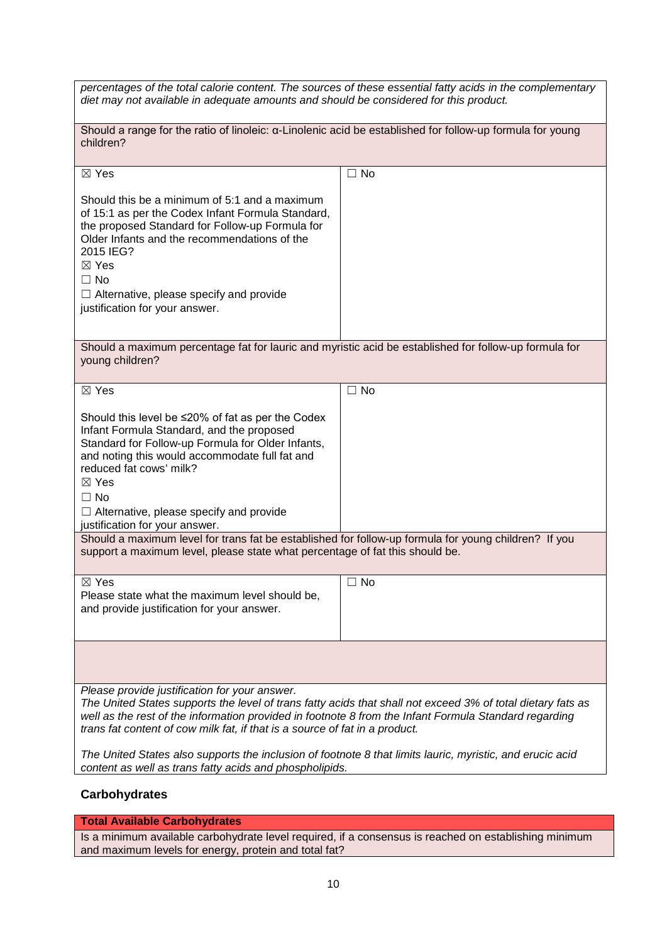| percentages of the total calorie content. The sources of these essential fatty acids in the complementary<br>diet may not available in adequate amounts and should be considered for this product.                                                                                                                                                         |           |  |  |  |
|------------------------------------------------------------------------------------------------------------------------------------------------------------------------------------------------------------------------------------------------------------------------------------------------------------------------------------------------------------|-----------|--|--|--|
| Should a range for the ratio of linoleic: a-Linolenic acid be established for follow-up formula for young<br>children?                                                                                                                                                                                                                                     |           |  |  |  |
| $\boxtimes$ Yes                                                                                                                                                                                                                                                                                                                                            | $\Box$ No |  |  |  |
| Should this be a minimum of 5:1 and a maximum<br>of 15:1 as per the Codex Infant Formula Standard,<br>the proposed Standard for Follow-up Formula for<br>Older Infants and the recommendations of the<br>2015 IEG?<br>$\boxtimes$ Yes<br>$\Box$ No<br>$\Box$ Alternative, please specify and provide<br>justification for your answer.                     |           |  |  |  |
|                                                                                                                                                                                                                                                                                                                                                            |           |  |  |  |
| Should a maximum percentage fat for lauric and myristic acid be established for follow-up formula for<br>young children?                                                                                                                                                                                                                                   |           |  |  |  |
| $\boxtimes$ Yes                                                                                                                                                                                                                                                                                                                                            | $\Box$ No |  |  |  |
| Should this level be $\leq$ 20% of fat as per the Codex<br>Infant Formula Standard, and the proposed<br>Standard for Follow-up Formula for Older Infants,<br>and noting this would accommodate full fat and<br>reduced fat cows' milk?<br>$\boxtimes$ Yes<br>$\Box$ No<br>$\Box$ Alternative, please specify and provide<br>justification for your answer. |           |  |  |  |
| Should a maximum level for trans fat be established for follow-up formula for young children? If you<br>support a maximum level, please state what percentage of fat this should be.                                                                                                                                                                       |           |  |  |  |
| $\boxtimes$ Yes<br>Please state what the maximum level should be,<br>and provide justification for your answer.                                                                                                                                                                                                                                            | $\Box$ No |  |  |  |
|                                                                                                                                                                                                                                                                                                                                                            |           |  |  |  |
| Please provide justification for your answer.<br>The United States supports the level of trans fatty acids that shall not exceed 3% of total dietary fats as<br>well as the rest of the information provided in footnote 8 from the Infant Formula Standard regarding<br>trans fat content of cow milk fat, if that is a source of fat in a product.       |           |  |  |  |
| The United States also supports the inclusion of footnote 8 that limits lauric, myristic, and erucic acid<br>content as well as trans fatty acids and phospholipids.                                                                                                                                                                                       |           |  |  |  |

# **Carbohydrates**

**Total Available Carbohydrates**

Is a minimum available carbohydrate level required, if a consensus is reached on establishing minimum and maximum levels for energy, protein and total fat?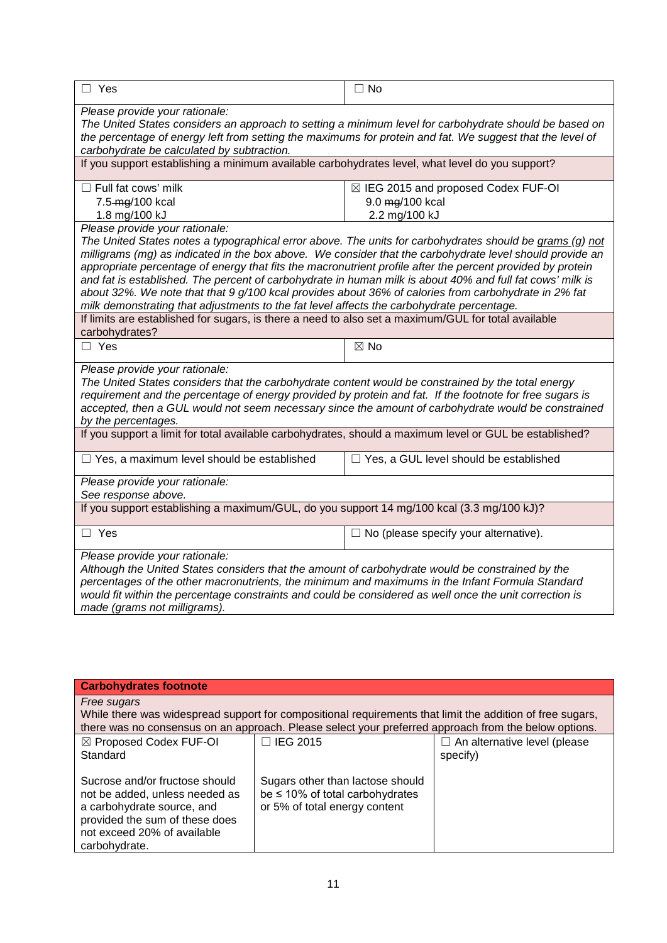| $\Box$ Yes                                                                                                                                                                                                                                                                                                                                                                                                                                                                                                                                                                                                                                                                                                                                                                                    | $\Box$ No                                                                |  |
|-----------------------------------------------------------------------------------------------------------------------------------------------------------------------------------------------------------------------------------------------------------------------------------------------------------------------------------------------------------------------------------------------------------------------------------------------------------------------------------------------------------------------------------------------------------------------------------------------------------------------------------------------------------------------------------------------------------------------------------------------------------------------------------------------|--------------------------------------------------------------------------|--|
| Please provide your rationale:<br>The United States considers an approach to setting a minimum level for carbohydrate should be based on<br>the percentage of energy left from setting the maximums for protein and fat. We suggest that the level of<br>carbohydrate be calculated by subtraction.<br>If you support establishing a minimum available carbohydrates level, what level do you support?                                                                                                                                                                                                                                                                                                                                                                                        |                                                                          |  |
|                                                                                                                                                                                                                                                                                                                                                                                                                                                                                                                                                                                                                                                                                                                                                                                               |                                                                          |  |
| $\Box$ Full fat cows' milk<br>7.5-mg/100 kcal<br>1.8 mg/100 kJ                                                                                                                                                                                                                                                                                                                                                                                                                                                                                                                                                                                                                                                                                                                                | ⊠ IEG 2015 and proposed Codex FUF-OI<br>9.0 mg/100 kcal<br>2.2 mg/100 kJ |  |
| Please provide your rationale:<br>The United States notes a typographical error above. The units for carbohydrates should be grams (q) not<br>milligrams (mg) as indicated in the box above. We consider that the carbohydrate level should provide an<br>appropriate percentage of energy that fits the macronutrient profile after the percent provided by protein<br>and fat is established. The percent of carbohydrate in human milk is about 40% and full fat cows' milk is<br>about 32%. We note that that 9 g/100 kcal provides about 36% of calories from carbohydrate in 2% fat<br>milk demonstrating that adjustments to the fat level affects the carbohydrate percentage.<br>If limits are established for sugars, is there a need to also set a maximum/GUL for total available |                                                                          |  |
| carbohydrates?<br>$\Box$ Yes                                                                                                                                                                                                                                                                                                                                                                                                                                                                                                                                                                                                                                                                                                                                                                  | $\boxtimes$ No                                                           |  |
|                                                                                                                                                                                                                                                                                                                                                                                                                                                                                                                                                                                                                                                                                                                                                                                               |                                                                          |  |
| Please provide your rationale:<br>The United States considers that the carbohydrate content would be constrained by the total energy<br>requirement and the percentage of energy provided by protein and fat. If the footnote for free sugars is<br>accepted, then a GUL would not seem necessary since the amount of carbohydrate would be constrained<br>by the percentages.                                                                                                                                                                                                                                                                                                                                                                                                                |                                                                          |  |
| If you support a limit for total available carbohydrates, should a maximum level or GUL be established?                                                                                                                                                                                                                                                                                                                                                                                                                                                                                                                                                                                                                                                                                       |                                                                          |  |
| $\Box$ Yes, a maximum level should be established                                                                                                                                                                                                                                                                                                                                                                                                                                                                                                                                                                                                                                                                                                                                             | □ Yes, a GUL level should be established                                 |  |
| Please provide your rationale:<br>See response above.                                                                                                                                                                                                                                                                                                                                                                                                                                                                                                                                                                                                                                                                                                                                         |                                                                          |  |
| If you support establishing a maximum/GUL, do you support 14 mg/100 kcal (3.3 mg/100 kJ)?                                                                                                                                                                                                                                                                                                                                                                                                                                                                                                                                                                                                                                                                                                     |                                                                          |  |
| $\Box$ Yes                                                                                                                                                                                                                                                                                                                                                                                                                                                                                                                                                                                                                                                                                                                                                                                    | $\Box$ No (please specify your alternative).                             |  |
| Please provide your rationale:<br>Although the United States considers that the amount of carbohydrate would be constrained by the<br>percentages of the other macronutrients, the minimum and maximums in the Infant Formula Standard<br>would fit within the percentage constraints and could be considered as well once the unit correction is<br>made (grams not milligrams).                                                                                                                                                                                                                                                                                                                                                                                                             |                                                                          |  |

| <b>Carbohydrates footnote</b>                                                                                                                                                                                                    |                                                                                                           |                                                 |  |
|----------------------------------------------------------------------------------------------------------------------------------------------------------------------------------------------------------------------------------|-----------------------------------------------------------------------------------------------------------|-------------------------------------------------|--|
| Free sugars<br>While there was widespread support for compositional requirements that limit the addition of free sugars,<br>there was no consensus on an approach. Please select your preferred approach from the below options. |                                                                                                           |                                                 |  |
| ⊠ Proposed Codex FUF-OI<br>Standard                                                                                                                                                                                              | $\Box$ IEG 2015                                                                                           | $\Box$ An alternative level (please<br>specify) |  |
| Sucrose and/or fructose should<br>not be added, unless needed as<br>a carbohydrate source, and<br>provided the sum of these does<br>not exceed 20% of available<br>carbohydrate.                                                 | Sugars other than lactose should<br>be $\leq$ 10% of total carbohydrates<br>or 5% of total energy content |                                                 |  |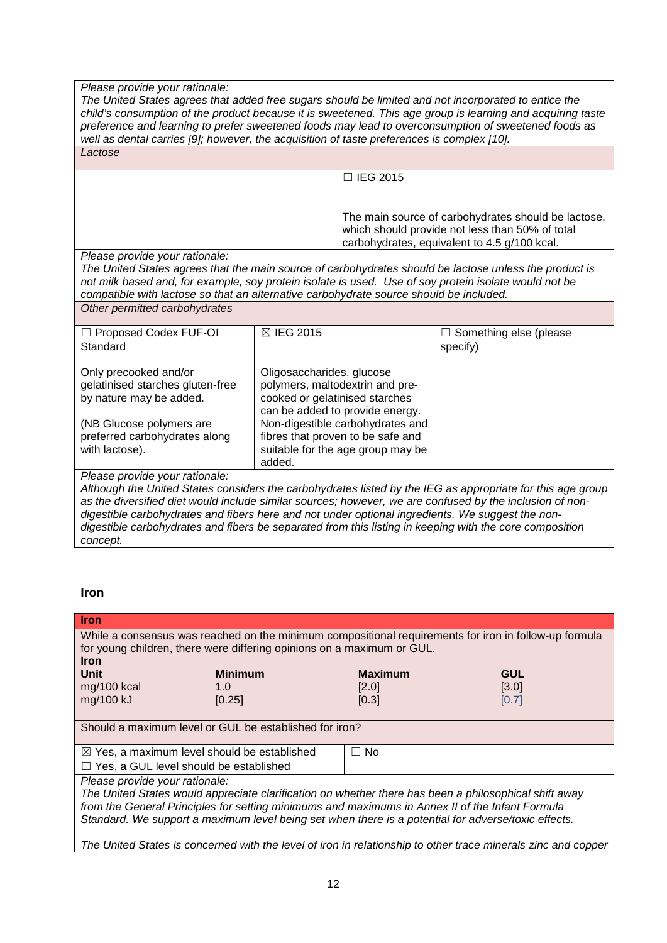#### *Please provide your rationale:*

*The United States agrees that added free sugars should be limited and not incorporated to entice the child's consumption of the product because it is sweetened. This age group is learning and acquiring taste preference and learning to prefer sweetened foods may lead to overconsumption of sweetened foods as well as dental carries [9]; however, the acquisition of taste preferences is complex [10]. Lactose*

☐ IEG 2015

The main source of carbohydrates should be lactose, which should provide not less than 50% of total carbohydrates, equivalent to 4.5 g/100 kcal.

*Please provide your rationale:*

*The United States agrees that the main source of carbohydrates should be lactose unless the product is not milk based and, for example, soy protein isolate is used. Use of soy protein isolate would not be compatible with lactose so that an alternative carbohydrate source should be included.*

#### *Other permitted carbohydrates*

| $\Box$ Proposed Codex FUF-OI     | ⊠ IEG 2015                        | $\Box$ Something else (please |
|----------------------------------|-----------------------------------|-------------------------------|
| Standard                         |                                   | specify)                      |
|                                  |                                   |                               |
| Only precooked and/or            | Oligosaccharides, glucose         |                               |
| gelatinised starches gluten-free | polymers, maltodextrin and pre-   |                               |
| by nature may be added.          | cooked or gelatinised starches    |                               |
|                                  | can be added to provide energy.   |                               |
| (NB Glucose polymers are         | Non-digestible carbohydrates and  |                               |
| preferred carbohydrates along    | fibres that proven to be safe and |                               |
| with lactose).                   | suitable for the age group may be |                               |
|                                  | added.                            |                               |
| . .<br>--                        |                                   |                               |

*Please provide your rationale:*

*Although the United States considers the carbohydrates listed by the IEG as appropriate for this age group as the diversified diet would include similar sources; however, we are confused by the inclusion of nondigestible carbohydrates and fibers here and not under optional ingredients. We suggest the nondigestible carbohydrates and fibers be separated from this listing in keeping with the core composition concept.*

#### **Iron**

| <b>Iron</b>                                                                                                                                                                                                                                                                                                                                       |                                                        |                |            |
|---------------------------------------------------------------------------------------------------------------------------------------------------------------------------------------------------------------------------------------------------------------------------------------------------------------------------------------------------|--------------------------------------------------------|----------------|------------|
| While a consensus was reached on the minimum compositional requirements for iron in follow-up formula<br>for young children, there were differing opinions on a maximum or GUL.                                                                                                                                                                   |                                                        |                |            |
| <b>Iron</b><br>Unit                                                                                                                                                                                                                                                                                                                               | <b>Minimum</b>                                         | <b>Maximum</b> | <b>GUL</b> |
| mg/100 kcal                                                                                                                                                                                                                                                                                                                                       | 1.0                                                    | [2.0]          | [3.0]      |
| mg/100 kJ                                                                                                                                                                                                                                                                                                                                         | [0.25]                                                 | [0.3]          | [0.7]      |
|                                                                                                                                                                                                                                                                                                                                                   |                                                        |                |            |
| Should a maximum level or GUL be established for iron?                                                                                                                                                                                                                                                                                            |                                                        |                |            |
|                                                                                                                                                                                                                                                                                                                                                   | $\boxtimes$ Yes, a maximum level should be established | $\Box$ No      |            |
| $\Box$ Yes, a GUL level should be established                                                                                                                                                                                                                                                                                                     |                                                        |                |            |
| Please provide your rationale:<br>The United States would appreciate clarification on whether there has been a philosophical shift away<br>from the General Principles for setting minimums and maximums in Annex II of the Infant Formula<br>Standard. We support a maximum level being set when there is a potential for adverse/toxic effects. |                                                        |                |            |
| The United States is concerned with the level of iron in relationship to other trace minerals zinc and copper                                                                                                                                                                                                                                     |                                                        |                |            |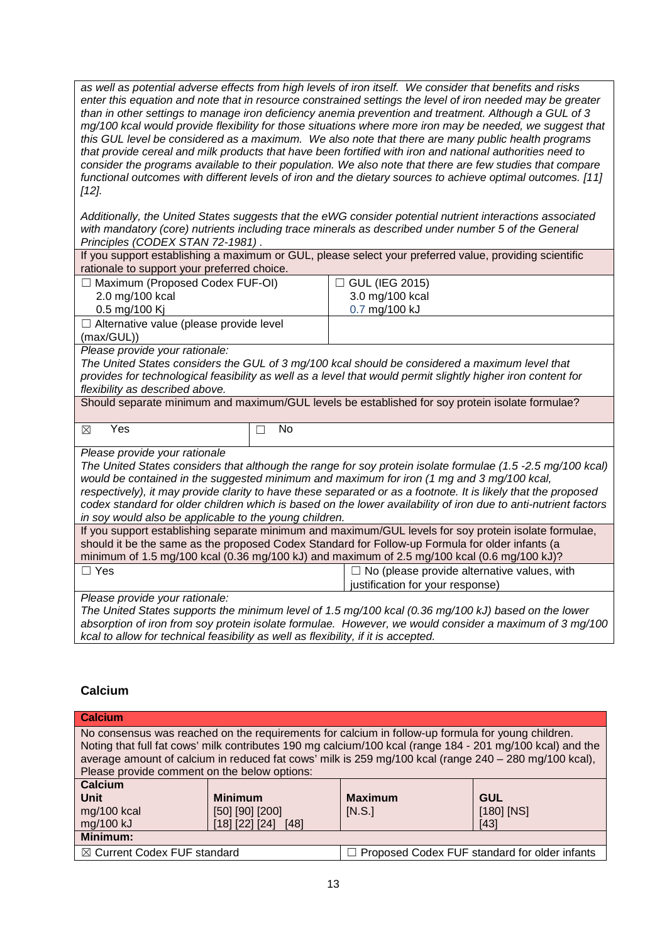*as well as potential adverse effects from high levels of iron itself. We consider that benefits and risks enter this equation and note that in resource constrained settings the level of iron needed may be greater than in other settings to manage iron deficiency anemia prevention and treatment. Although a GUL of 3 mg/100 kcal would provide flexibility for those situations where more iron may be needed, we suggest that this GUL level be considered as a maximum. We also note that there are many public health programs that provide cereal and milk products that have been fortified with iron and national authorities need to consider the programs available to their population. We also note that there are few studies that compare functional outcomes with different levels of iron and the dietary sources to achieve optimal outcomes. [11] [12].*

*Additionally, the United States suggests that the eWG consider potential nutrient interactions associated with mandatory (core) nutrients including trace minerals as described under number 5 of the General Principles (CODEX STAN 72-1981) .* 

|                                                                                                                 | If you support establishing a maximum or GUL, please select your preferred value, providing scientific       |  |
|-----------------------------------------------------------------------------------------------------------------|--------------------------------------------------------------------------------------------------------------|--|
| rationale to support your preferred choice.                                                                     |                                                                                                              |  |
| □ Maximum (Proposed Codex FUF-OI)                                                                               | □ GUL (IEG 2015)                                                                                             |  |
| 2.0 mg/100 kcal                                                                                                 | 3.0 mg/100 kcal                                                                                              |  |
| 0.5 mg/100 Kj                                                                                                   | 0.7 mg/100 kJ                                                                                                |  |
| $\Box$ Alternative value (please provide level                                                                  |                                                                                                              |  |
| (max/GUL))                                                                                                      |                                                                                                              |  |
| Please provide your rationale:                                                                                  |                                                                                                              |  |
|                                                                                                                 | The United States considers the GUL of 3 mg/100 kcal should be considered a maximum level that               |  |
|                                                                                                                 | provides for technological feasibility as well as a level that would permit slightly higher iron content for |  |
| flexibility as described above.                                                                                 |                                                                                                              |  |
|                                                                                                                 | Should separate minimum and maximum/GUL levels be established for soy protein isolate formulae?              |  |
|                                                                                                                 |                                                                                                              |  |
| Yes<br>No<br>$\boxtimes$                                                                                        |                                                                                                              |  |
| Please provide your rationale                                                                                   |                                                                                                              |  |
|                                                                                                                 | The United States considers that although the range for soy protein isolate formulae (1.5 -2.5 mg/100 kcal)  |  |
| would be contained in the suggested minimum and maximum for iron (1 mg and 3 mg/100 kcal,                       |                                                                                                              |  |
| respectively), it may provide clarity to have these separated or as a footnote. It is likely that the proposed  |                                                                                                              |  |
| codex standard for older children which is based on the lower availability of iron due to anti-nutrient factors |                                                                                                              |  |
| in soy would also be applicable to the young children.                                                          |                                                                                                              |  |
|                                                                                                                 | If you support establishing separate minimum and maximum/GUL levels for soy protein isolate formulae,        |  |
| should it be the same as the proposed Codex Standard for Follow-up Formula for older infants (a                 |                                                                                                              |  |
| minimum of 1.5 mg/100 kcal (0.36 mg/100 kJ) and maximum of 2.5 mg/100 kcal (0.6 mg/100 kJ)?                     |                                                                                                              |  |
| $\Box$ Yes                                                                                                      | $\Box$ No (please provide alternative values, with                                                           |  |
|                                                                                                                 | justification for your response)                                                                             |  |
| Please provide your rationale:                                                                                  |                                                                                                              |  |
|                                                                                                                 | The United States supports the minimum level of 1.5 mg/100 kcal (0.36 mg/100 kJ) based on the lower          |  |
|                                                                                                                 | absorption of iron from soy protein isolate formulae. However, we would consider a maximum of 3 mg/100       |  |
|                                                                                                                 |                                                                                                              |  |

**Calcium** 

| <b>Calcium</b>                                                                                                                                                                                                                                                                                                                                                          |                                         |                          |                            |
|-------------------------------------------------------------------------------------------------------------------------------------------------------------------------------------------------------------------------------------------------------------------------------------------------------------------------------------------------------------------------|-----------------------------------------|--------------------------|----------------------------|
| No consensus was reached on the requirements for calcium in follow-up formula for young children.<br>Noting that full fat cows' milk contributes 190 mg calcium/100 kcal (range 184 - 201 mg/100 kcal) and the<br>average amount of calcium in reduced fat cows' milk is 259 mg/100 kcal (range 240 - 280 mg/100 kcal),<br>Please provide comment on the below options: |                                         |                          |                            |
| <b>Calcium</b><br><b>Unit</b><br>mg/100 kcal                                                                                                                                                                                                                                                                                                                            | <b>Minimum</b><br>$[50]$ $[90]$ $[200]$ | <b>Maximum</b><br>[N.S.] | <b>GUL</b><br>$[180]$ [NS] |
| mg/100 kJ                                                                                                                                                                                                                                                                                                                                                               | $[18]$ $[22]$ $[24]$ $[48]$             |                          | [43]                       |
| Minimum:                                                                                                                                                                                                                                                                                                                                                                |                                         |                          |                            |
| ⊠ Current Codex FUF standard<br>Proposed Codex FUF standard for older infants                                                                                                                                                                                                                                                                                           |                                         |                          |                            |

*kcal to allow for technical feasibility as well as flexibility, if it is accepted.*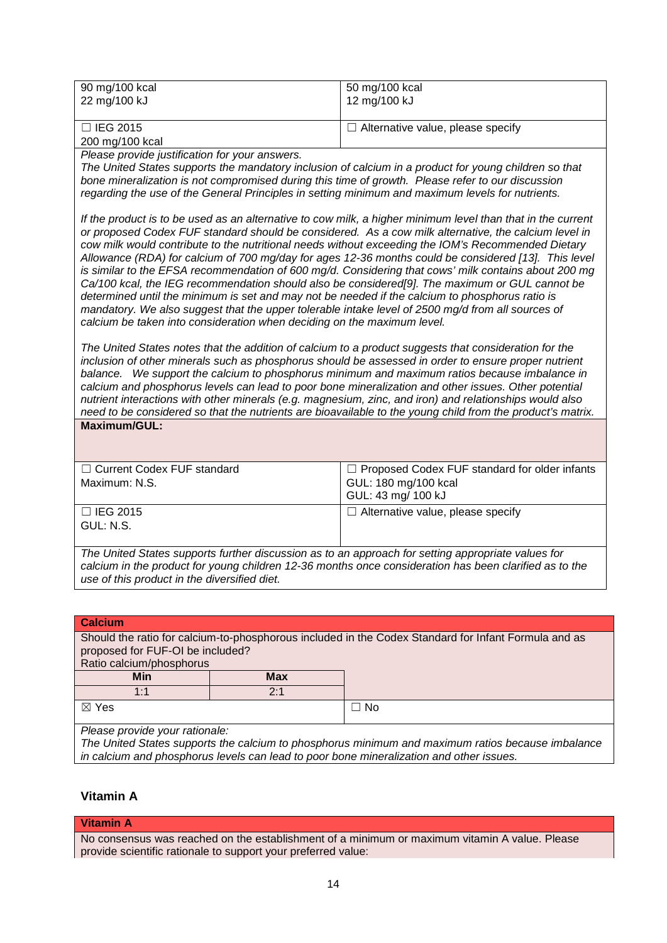| 90 mg/100 kcal  | 50 mg/100 kcal                    |
|-----------------|-----------------------------------|
| 22 mg/100 kJ    | 12 mg/100 kJ                      |
| $\Box$ IEG 2015 | Alternative value, please specify |

☐ IEG 2015 200 mg/100 kcal

*Please provide justification for your answers.*

*The United States supports the mandatory inclusion of calcium in a product for young children so that bone mineralization is not compromised during this time of growth. Please refer to our discussion regarding the use of the General Principles in setting minimum and maximum levels for nutrients.*

*If the product is to be used as an alternative to cow milk, a higher minimum level than that in the current or proposed Codex FUF standard should be considered. As a cow milk alternative, the calcium level in cow milk would contribute to the nutritional needs without exceeding the IOM's Recommended Dietary Allowance (RDA) for calcium of 700 mg/day for ages 12-36 months could be considered [13]. This level is similar to the EFSA recommendation of 600 mg/d. Considering that cows' milk contains about 200 mg Ca/100 kcal, the IEG recommendation should also be considered[9]. The maximum or GUL cannot be determined until the minimum is set and may not be needed if the calcium to phosphorus ratio is mandatory. We also suggest that the upper tolerable intake level of 2500 mg/d from all sources of calcium be taken into consideration when deciding on the maximum level.* 

*The United States notes that the addition of calcium to a product suggests that consideration for the inclusion of other minerals such as phosphorus should be assessed in order to ensure proper nutrient balance. We support the calcium to phosphorus minimum and maximum ratios because imbalance in calcium and phosphorus levels can lead to poor bone mineralization and other issues. Other potential nutrient interactions with other minerals (e.g. magnesium, zinc, and iron) and relationships would also need to be considered so that the nutrients are bioavailable to the young child from the product's matrix.*

|  | Maximum/GUL: |  |  |
|--|--------------|--|--|
|  |              |  |  |

| $\Box$ Current Codex FUF standard<br>Maximum: N.S. | $\Box$ Proposed Codex FUF standard for older infants<br>GUL: 180 mg/100 kcal<br>GUL: 43 mg/ 100 kJ |
|----------------------------------------------------|----------------------------------------------------------------------------------------------------|
| $\Box$ IEG 2015<br>GUL: N.S.                       | $\Box$ Alternative value, please specify                                                           |

*The United States supports further discussion as to an approach for setting appropriate values for calcium in the product for young children 12-36 months once consideration has been clarified as to the use of this product in the diversified diet.*

# **Calcium** Should the ratio for calcium-to-phosphorous included in the Codex Standard for Infant Formula and as proposed for FUF-OI be included? Ratio calcium/phosphorus **Min Max** 1:1 2:1  $\boxtimes$  Yes  $\Box$  No

*Please provide your rationale:*

*The United States supports the calcium to phosphorus minimum and maximum ratios because imbalance in calcium and phosphorus levels can lead to poor bone mineralization and other issues.* 

# **Vitamin A**

#### **Vitamin A**

No consensus was reached on the establishment of a minimum or maximum vitamin A value. Please provide scientific rationale to support your preferred value: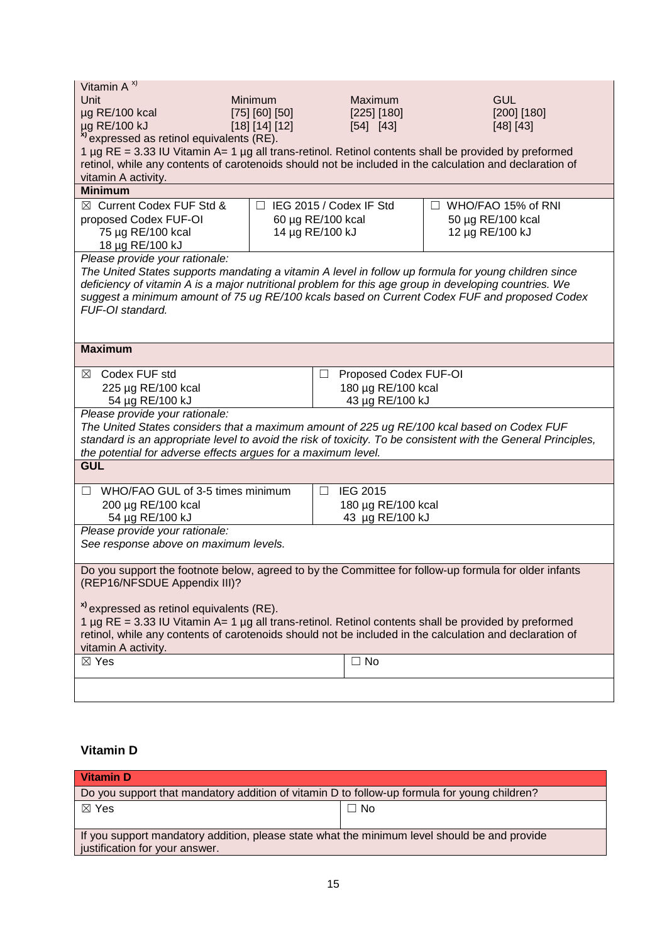| Vitamin $A^{x}$                                                                                                                                                                                                 |                |                                 |                                                                                                         |  |
|-----------------------------------------------------------------------------------------------------------------------------------------------------------------------------------------------------------------|----------------|---------------------------------|---------------------------------------------------------------------------------------------------------|--|
| Unit                                                                                                                                                                                                            | Minimum        | Maximum                         | <b>GUL</b>                                                                                              |  |
| µg RE/100 kcal                                                                                                                                                                                                  | [75] [60] [50] | [225] [180]                     | [200] [180]                                                                                             |  |
| µg RE/100 kJ                                                                                                                                                                                                    | [18] [14] [12] | $[54]$ [43]                     | [48] [43]                                                                                               |  |
| <sup>x)</sup> expressed as retinol equivalents (RE).                                                                                                                                                            |                |                                 |                                                                                                         |  |
| 1 µg RE = 3.33 IU Vitamin A= 1 µg all trans-retinol. Retinol contents shall be provided by preformed                                                                                                            |                |                                 |                                                                                                         |  |
|                                                                                                                                                                                                                 |                |                                 | retinol, while any contents of carotenoids should not be included in the calculation and declaration of |  |
| vitamin A activity.                                                                                                                                                                                             |                |                                 |                                                                                                         |  |
| <b>Minimum</b>                                                                                                                                                                                                  |                |                                 |                                                                                                         |  |
| ⊠ Current Codex FUF Std &                                                                                                                                                                                       | П.             | IEG 2015 / Codex IF Std         | □ WHO/FAO 15% of RNI                                                                                    |  |
|                                                                                                                                                                                                                 |                |                                 |                                                                                                         |  |
| proposed Codex FUF-OI                                                                                                                                                                                           |                | 60 µg RE/100 kcal               | 50 µg RE/100 kcal                                                                                       |  |
| 75 µg RE/100 kcal                                                                                                                                                                                               |                | 14 µg RE/100 kJ                 | 12 µg RE/100 kJ                                                                                         |  |
| 18 µg RE/100 kJ                                                                                                                                                                                                 |                |                                 |                                                                                                         |  |
| Please provide your rationale:                                                                                                                                                                                  |                |                                 |                                                                                                         |  |
|                                                                                                                                                                                                                 |                |                                 | The United States supports mandating a vitamin A level in follow up formula for young children since    |  |
| deficiency of vitamin A is a major nutritional problem for this age group in developing countries. We                                                                                                           |                |                                 |                                                                                                         |  |
|                                                                                                                                                                                                                 |                |                                 | suggest a minimum amount of 75 ug RE/100 kcals based on Current Codex FUF and proposed Codex            |  |
| FUF-OI standard.                                                                                                                                                                                                |                |                                 |                                                                                                         |  |
|                                                                                                                                                                                                                 |                |                                 |                                                                                                         |  |
|                                                                                                                                                                                                                 |                |                                 |                                                                                                         |  |
| <b>Maximum</b>                                                                                                                                                                                                  |                |                                 |                                                                                                         |  |
| Codex FUF std<br>⊠                                                                                                                                                                                              |                | Proposed Codex FUF-OI<br>$\Box$ |                                                                                                         |  |
| 225 µg RE/100 kcal<br>180 µg RE/100 kcal                                                                                                                                                                        |                |                                 |                                                                                                         |  |
| 54 µg RE/100 kJ                                                                                                                                                                                                 |                | 43 µg RE/100 kJ                 |                                                                                                         |  |
| Please provide your rationale:                                                                                                                                                                                  |                |                                 |                                                                                                         |  |
| The United States considers that a maximum amount of 225 ug RE/100 kcal based on Codex FUF                                                                                                                      |                |                                 |                                                                                                         |  |
| standard is an appropriate level to avoid the risk of toxicity. To be consistent with the General Principles,                                                                                                   |                |                                 |                                                                                                         |  |
| the potential for adverse effects argues for a maximum level.                                                                                                                                                   |                |                                 |                                                                                                         |  |
| <b>GUL</b>                                                                                                                                                                                                      |                |                                 |                                                                                                         |  |
|                                                                                                                                                                                                                 |                |                                 |                                                                                                         |  |
| WHO/FAO GUL of 3-5 times minimum<br>$\Box$                                                                                                                                                                      |                | <b>IEG 2015</b><br>ш            |                                                                                                         |  |
| 200 µg RE/100 kcal                                                                                                                                                                                              |                | 180 µg RE/100 kcal              |                                                                                                         |  |
| 54 µg RE/100 kJ                                                                                                                                                                                                 |                | 43 µg RE/100 kJ                 |                                                                                                         |  |
| Please provide your rationale:                                                                                                                                                                                  |                |                                 |                                                                                                         |  |
| See response above on maximum levels.                                                                                                                                                                           |                |                                 |                                                                                                         |  |
|                                                                                                                                                                                                                 |                |                                 |                                                                                                         |  |
| Do you support the footnote below, agreed to by the Committee for follow-up formula for older infants                                                                                                           |                |                                 |                                                                                                         |  |
| (REP16/NFSDUE Appendix III)?                                                                                                                                                                                    |                |                                 |                                                                                                         |  |
|                                                                                                                                                                                                                 |                |                                 |                                                                                                         |  |
| <sup>x)</sup> expressed as retinol equivalents (RE).                                                                                                                                                            |                |                                 |                                                                                                         |  |
|                                                                                                                                                                                                                 |                |                                 |                                                                                                         |  |
| 1 µg RE = 3.33 IU Vitamin A= 1 µg all trans-retinol. Retinol contents shall be provided by preformed<br>retinol, while any contents of carotenoids should not be included in the calculation and declaration of |                |                                 |                                                                                                         |  |
| vitamin A activity.                                                                                                                                                                                             |                |                                 |                                                                                                         |  |
| $\boxtimes$ Yes                                                                                                                                                                                                 |                | $\Box$ No                       |                                                                                                         |  |
|                                                                                                                                                                                                                 |                |                                 |                                                                                                         |  |
|                                                                                                                                                                                                                 |                |                                 |                                                                                                         |  |
|                                                                                                                                                                                                                 |                |                                 |                                                                                                         |  |

# **Vitamin D**

| <b>Vitamin D</b>                                                                                                               |      |
|--------------------------------------------------------------------------------------------------------------------------------|------|
| Do you support that mandatory addition of vitamin D to follow-up formula for young children?                                   |      |
| $\boxtimes$ Yes                                                                                                                | ⊐ No |
| If you support mandatory addition, please state what the minimum level should be and provide<br>justification for your answer. |      |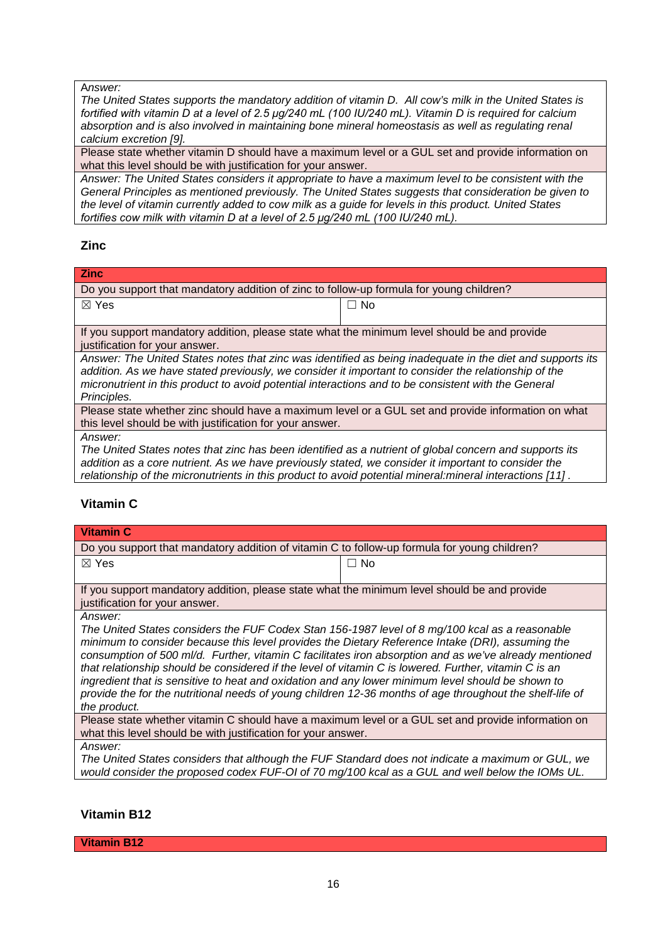#### A*nswer:*

*The United States supports the mandatory addition of vitamin D. All cow's milk in the United States is fortified with vitamin D at a level of 2.5 μg/240 mL (100 IU/240 mL). Vitamin D is required for calcium absorption and is also involved in maintaining bone mineral homeostasis as well as regulating renal calcium excretion [9].* 

Please state whether vitamin D should have a maximum level or a GUL set and provide information on what this level should be with justification for your answer.

*Answer: The United States considers it appropriate to have a maximum level to be consistent with the General Principles as mentioned previously. The United States suggests that consideration be given to the level of vitamin currently added to cow milk as a guide for levels in this product. United States fortifies cow milk with vitamin D at a level of 2.5 μg/240 mL (100 IU/240 mL).* 

### **Zinc**

| <b>Zinc</b>                                                                                          |                                                                                                           |  |
|------------------------------------------------------------------------------------------------------|-----------------------------------------------------------------------------------------------------------|--|
| Do you support that mandatory addition of zinc to follow-up formula for young children?              |                                                                                                           |  |
| $\boxtimes$ Yes                                                                                      | $\Box$ No                                                                                                 |  |
|                                                                                                      |                                                                                                           |  |
| If you support mandatory addition, please state what the minimum level should be and provide         |                                                                                                           |  |
| justification for your answer.                                                                       |                                                                                                           |  |
|                                                                                                      | Answer: The United States notes that zinc was identified as being inadequate in the diet and supports its |  |
| addition. As we have stated previously, we consider it important to consider the relationship of the |                                                                                                           |  |
| micronutrient in this product to avoid potential interactions and to be consistent with the General  |                                                                                                           |  |
| Principles.                                                                                          |                                                                                                           |  |

Please state whether zinc should have a maximum level or a GUL set and provide information on what this level should be with justification for your answer.

*Answer:*

*The United States notes that zinc has been identified as a nutrient of global concern and supports its addition as a core nutrient. As we have previously stated, we consider it important to consider the relationship of the micronutrients in this product to avoid potential mineral:mineral interactions [11] .* 

# **Vitamin C**

| Vitamin C                                                                                    |      |  |
|----------------------------------------------------------------------------------------------|------|--|
| Do you support that mandatory addition of vitamin C to follow-up formula for young children? |      |  |
| $\boxtimes$ Yes                                                                              | ⊐ No |  |
|                                                                                              |      |  |
| If you support mandatory addition, please state what the minimum level should be and provide |      |  |
| justification for your answer.                                                               |      |  |

*Answer:*

*The United States considers the FUF Codex Stan 156-1987 level of 8 mg/100 kcal as a reasonable minimum to consider because this level provides the Dietary Reference Intake (DRI), assuming the consumption of 500 ml/d. Further, vitamin C facilitates iron absorption and as we've already mentioned that relationship should be considered if the level of vitamin C is lowered. Further, vitamin C is an ingredient that is sensitive to heat and oxidation and any lower minimum level should be shown to provide the for the nutritional needs of young children 12-36 months of age throughout the shelf-life of the product.*

Please state whether vitamin C should have a maximum level or a GUL set and provide information on what this level should be with justification for your answer.

*Answer:*

*The United States considers that although the FUF Standard does not indicate a maximum or GUL, we would consider the proposed codex FUF-OI of 70 mg/100 kcal as a GUL and well below the IOMs UL.*

### **Vitamin B12**

**Vitamin B12**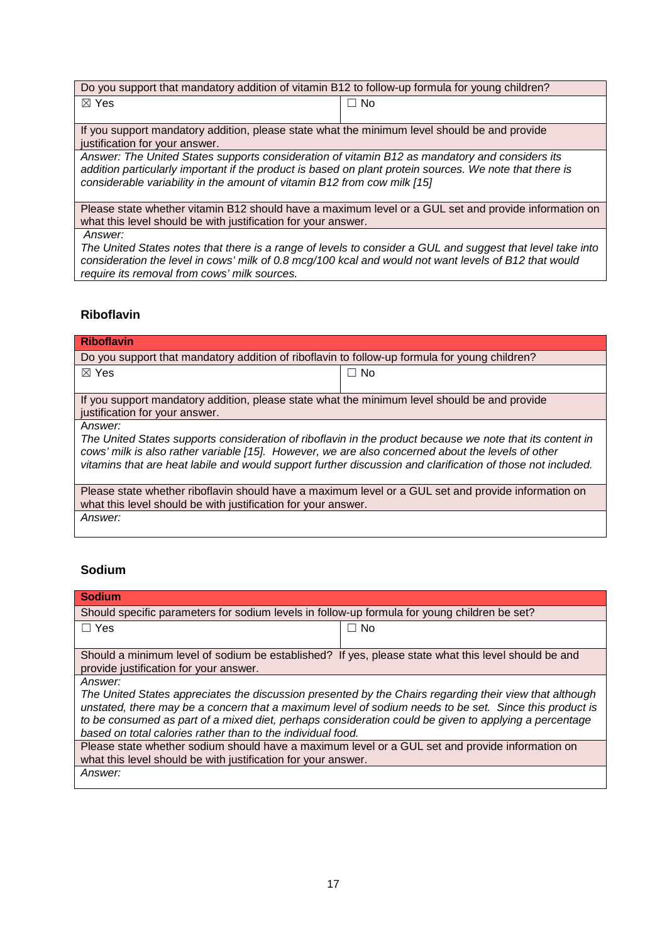| Do you support that mandatory addition of vitamin B12 to follow-up formula for young children?                                                                                                                                                                                        |           |  |
|---------------------------------------------------------------------------------------------------------------------------------------------------------------------------------------------------------------------------------------------------------------------------------------|-----------|--|
| $\boxtimes$ Yes                                                                                                                                                                                                                                                                       | $\Box$ No |  |
| If you support mandatory addition, please state what the minimum level should be and provide<br>justification for your answer.                                                                                                                                                        |           |  |
| Answer: The United States supports consideration of vitamin B12 as mandatory and considers its<br>addition particularly important if the product is based on plant protein sources. We note that there is<br>considerable variability in the amount of vitamin B12 from cow milk [15] |           |  |
| Please state whether vitamin B12 should have a maximum level or a GUL set and provide information on<br>what this level should be with justification for your answer.                                                                                                                 |           |  |
| Answer:                                                                                                                                                                                                                                                                               |           |  |

*The United States notes that there is a range of levels to consider a GUL and suggest that level take into consideration the level in cows' milk of 0.8 mcg/100 kcal and would not want levels of B12 that would require its removal from cows' milk sources.*

## **Riboflavin**

| <b>Riboflavin</b>                                                                                                                                                                                                                                                                                                                        |           |  |
|------------------------------------------------------------------------------------------------------------------------------------------------------------------------------------------------------------------------------------------------------------------------------------------------------------------------------------------|-----------|--|
| Do you support that mandatory addition of riboflavin to follow-up formula for young children?                                                                                                                                                                                                                                            |           |  |
| $\boxtimes$ Yes                                                                                                                                                                                                                                                                                                                          | $\Box$ No |  |
| If you support mandatory addition, please state what the minimum level should be and provide<br>justification for your answer.                                                                                                                                                                                                           |           |  |
| Answer:<br>The United States supports consideration of riboflavin in the product because we note that its content in<br>cows' milk is also rather variable [15]. However, we are also concerned about the levels of other<br>vitamins that are heat labile and would support further discussion and clarification of those not included. |           |  |
| Please state whether riboflavin should have a maximum level or a GUL set and provide information on<br>what this level should be with justification for your answer.                                                                                                                                                                     |           |  |
| Answer:                                                                                                                                                                                                                                                                                                                                  |           |  |

# **Sodium**

| <b>Sodium</b>                                                                                                                                                                                                                                                                                                                                                                             |           |  |
|-------------------------------------------------------------------------------------------------------------------------------------------------------------------------------------------------------------------------------------------------------------------------------------------------------------------------------------------------------------------------------------------|-----------|--|
| Should specific parameters for sodium levels in follow-up formula for young children be set?                                                                                                                                                                                                                                                                                              |           |  |
| $\Box$ Yes                                                                                                                                                                                                                                                                                                                                                                                | $\Box$ No |  |
|                                                                                                                                                                                                                                                                                                                                                                                           |           |  |
| Should a minimum level of sodium be established? If yes, please state what this level should be and                                                                                                                                                                                                                                                                                       |           |  |
| provide justification for your answer.                                                                                                                                                                                                                                                                                                                                                    |           |  |
| Answer:                                                                                                                                                                                                                                                                                                                                                                                   |           |  |
| The United States appreciates the discussion presented by the Chairs regarding their view that although<br>unstated, there may be a concern that a maximum level of sodium needs to be set. Since this product is<br>to be consumed as part of a mixed diet, perhaps consideration could be given to applying a percentage<br>based on total calories rather than to the individual food. |           |  |
| Please state whether sodium should have a maximum level or a GUL set and provide information on<br>what this level should be with justification for your answer.                                                                                                                                                                                                                          |           |  |
| Answer:                                                                                                                                                                                                                                                                                                                                                                                   |           |  |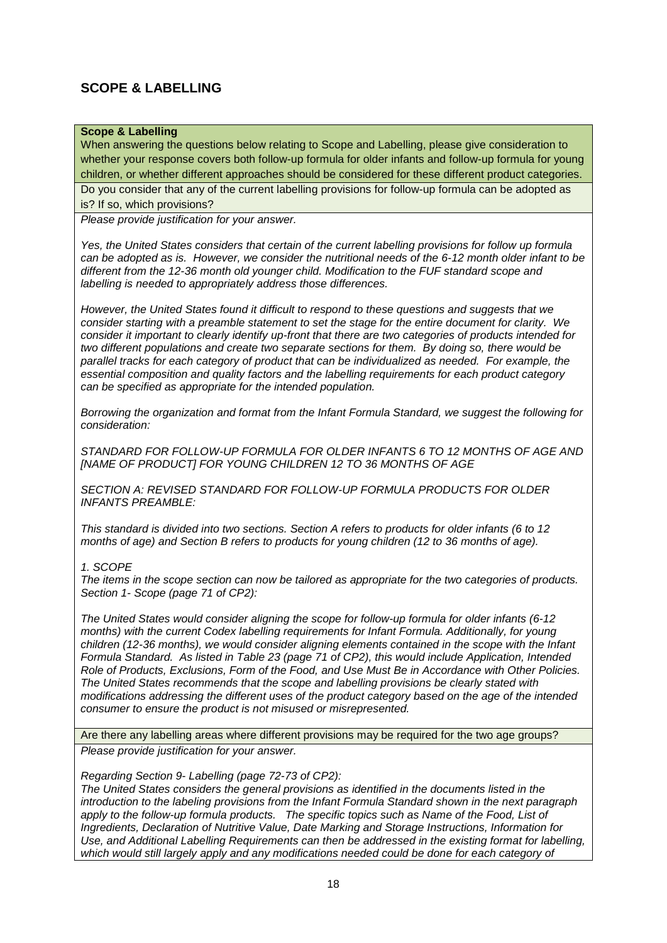# **SCOPE & LABELLING**

### **Scope & Labelling**

When answering the questions below relating to Scope and Labelling, please give consideration to whether your response covers both follow-up formula for older infants and follow-up formula for young children, or whether different approaches should be considered for these different product categories. Do you consider that any of the current labelling provisions for follow-up formula can be adopted as is? If so, which provisions?

*Please provide justification for your answer.*

*Yes, the United States considers that certain of the current labelling provisions for follow up formula can be adopted as is. However, we consider the nutritional needs of the 6-12 month older infant to be different from the 12-36 month old younger child. Modification to the FUF standard scope and labelling is needed to appropriately address those differences.*

*However, the United States found it difficult to respond to these questions and suggests that we consider starting with a preamble statement to set the stage for the entire document for clarity. We consider it important to clearly identify up-front that there are two categories of products intended for two different populations and create two separate sections for them. By doing so, there would be parallel tracks for each category of product that can be individualized as needed. For example, the essential composition and quality factors and the labelling requirements for each product category can be specified as appropriate for the intended population.* 

*Borrowing the organization and format from the Infant Formula Standard, we suggest the following for consideration:*

*STANDARD FOR FOLLOW-UP FORMULA FOR OLDER INFANTS 6 TO 12 MONTHS OF AGE AND [NAME OF PRODUCT] FOR YOUNG CHILDREN 12 TO 36 MONTHS OF AGE*

*SECTION A: REVISED STANDARD FOR FOLLOW-UP FORMULA PRODUCTS FOR OLDER INFANTS PREAMBLE:*

*This standard is divided into two sections. Section A refers to products for older infants (6 to 12 months of age) and Section B refers to products for young children (12 to 36 months of age).* 

#### *1. SCOPE*

*The items in the scope section can now be tailored as appropriate for the two categories of products. Section 1- Scope (page 71 of CP2):* 

*The United States would consider aligning the scope for follow-up formula for older infants (6-12 months) with the current Codex labelling requirements for Infant Formula. Additionally, for young children (12-36 months), we would consider aligning elements contained in the scope with the Infant Formula Standard. As listed in Table 23 (page 71 of CP2), this would include Application, Intended Role of Products, Exclusions, Form of the Food, and Use Must Be in Accordance with Other Policies. The United States recommends that the scope and labelling provisions be clearly stated with modifications addressing the different uses of the product category based on the age of the intended consumer to ensure the product is not misused or misrepresented.* 

Are there any labelling areas where different provisions may be required for the two age groups? *Please provide justification for your answer.*

*Regarding Section 9- Labelling (page 72-73 of CP2):*

*The United States considers the general provisions as identified in the documents listed in the introduction to the labeling provisions from the Infant Formula Standard shown in the next paragraph apply to the follow-up formula products. The specific topics such as Name of the Food, List of Ingredients, Declaration of Nutritive Value, Date Marking and Storage Instructions, Information for Use, and Additional Labelling Requirements can then be addressed in the existing format for labelling,*  which would still largely apply and any modifications needed could be done for each category of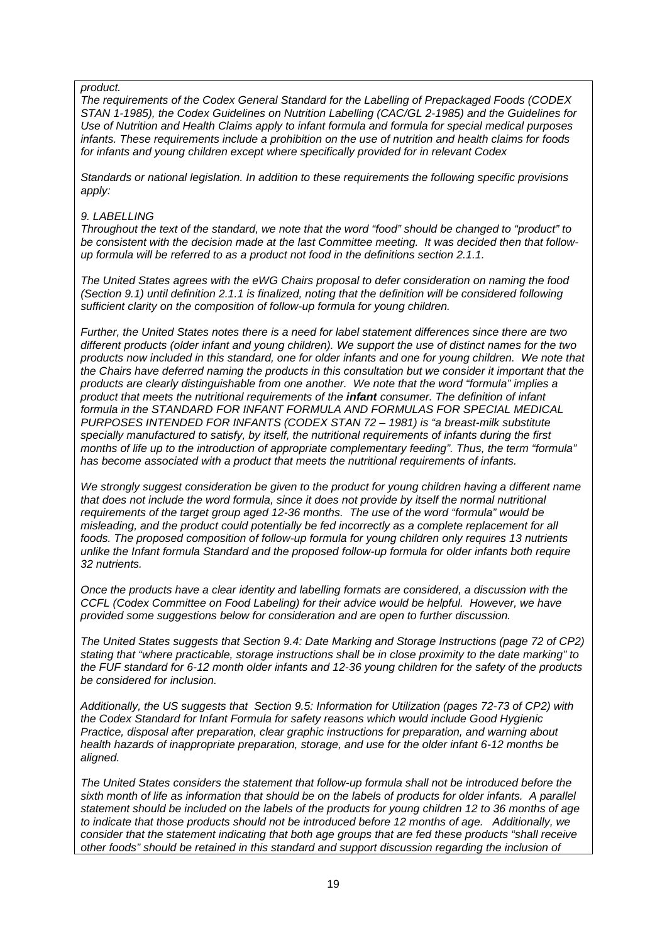#### *product.*

*The requirements of the Codex General Standard for the Labelling of Prepackaged Foods (CODEX STAN 1-1985), the Codex Guidelines on Nutrition Labelling (CAC/GL 2-1985) and the Guidelines for Use of Nutrition and Health Claims apply to infant formula and formula for special medical purposes infants. These requirements include a prohibition on the use of nutrition and health claims for foods for infants and young children except where specifically provided for in relevant Codex*

*Standards or national legislation. In addition to these requirements the following specific provisions apply:* 

#### *9. LABELLING*

*Throughout the text of the standard, we note that the word "food" should be changed to "product" to be consistent with the decision made at the last Committee meeting. It was decided then that followup formula will be referred to as a product not food in the definitions section 2.1.1.*

*The United States agrees with the eWG Chairs proposal to defer consideration on naming the food (Section 9.1) until definition 2.1.1 is finalized, noting that the definition will be considered following sufficient clarity on the composition of follow-up formula for young children.* 

*Further, the United States notes there is a need for label statement differences since there are two different products (older infant and young children). We support the use of distinct names for the two products now included in this standard, one for older infants and one for young children. We note that the Chairs have deferred naming the products in this consultation but we consider it important that the products are clearly distinguishable from one another. We note that the word "formula" implies a product that meets the nutritional requirements of the infant consumer. The definition of infant formula in the STANDARD FOR INFANT FORMULA AND FORMULAS FOR SPECIAL MEDICAL PURPOSES INTENDED FOR INFANTS (CODEX STAN 72 – 1981) is "a breast-milk substitute specially manufactured to satisfy, by itself, the nutritional requirements of infants during the first months of life up to the introduction of appropriate complementary feeding". Thus, the term "formula" has become associated with a product that meets the nutritional requirements of infants.*

*We strongly suggest consideration be given to the product for young children having a different name that does not include the word formula, since it does not provide by itself the normal nutritional requirements of the target group aged 12-36 months. The use of the word "formula" would be misleading, and the product could potentially be fed incorrectly as a complete replacement for all foods. The proposed composition of follow-up formula for young children only requires 13 nutrients unlike the Infant formula Standard and the proposed follow-up formula for older infants both require 32 nutrients.*

*Once the products have a clear identity and labelling formats are considered, a discussion with the CCFL (Codex Committee on Food Labeling) for their advice would be helpful. However, we have provided some suggestions below for consideration and are open to further discussion.*

*The United States suggests that Section 9.4: Date Marking and Storage Instructions (page 72 of CP2) stating that "where practicable, storage instructions shall be in close proximity to the date marking" to the FUF standard for 6-12 month older infants and 12-36 young children for the safety of the products be considered for inclusion.*

*Additionally, the US suggests that Section 9.5: Information for Utilization (pages 72-73 of CP2) with the Codex Standard for Infant Formula for safety reasons which would include Good Hygienic Practice, disposal after preparation, clear graphic instructions for preparation, and warning about health hazards of inappropriate preparation, storage, and use for the older infant 6-12 months be aligned.* 

*The United States considers the statement that follow-up formula shall not be introduced before the sixth month of life as information that should be on the labels of products for older infants. A parallel statement should be included on the labels of the products for young children 12 to 36 months of age to indicate that those products should not be introduced before 12 months of age. Additionally, we consider that the statement indicating that both age groups that are fed these products "shall receive other foods" should be retained in this standard and support discussion regarding the inclusion of*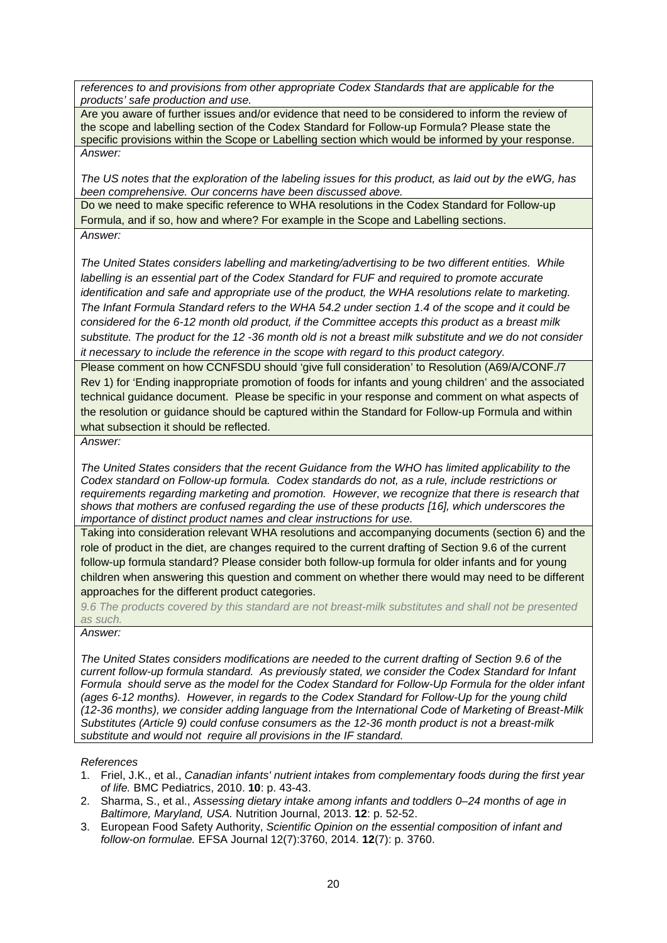*references to and provisions from other appropriate Codex Standards that are applicable for the products' safe production and use.*

Are you aware of further issues and/or evidence that need to be considered to inform the review of the scope and labelling section of the Codex Standard for Follow-up Formula? Please state the specific provisions within the Scope or Labelling section which would be informed by your response. *Answer:*

*The US notes that the exploration of the labeling issues for this product, as laid out by the eWG, has been comprehensive. Our concerns have been discussed above.* 

Do we need to make specific reference to WHA resolutions in the Codex Standard for Follow-up Formula, and if so, how and where? For example in the Scope and Labelling sections. *Answer:*

*The United States considers labelling and marketing/advertising to be two different entities. While labelling is an essential part of the Codex Standard for FUF and required to promote accurate identification and safe and appropriate use of the product, the WHA resolutions relate to marketing. The Infant Formula Standard refers to the WHA 54.2 under section 1.4 of the scope and it could be considered for the 6-12 month old product, if the Committee accepts this product as a breast milk substitute. The product for the 12 -36 month old is not a breast milk substitute and we do not consider it necessary to include the reference in the scope with regard to this product category.*

Please comment on how CCNFSDU should 'give full consideration' to Resolution (A69/A/CONF./7 Rev 1) for 'Ending inappropriate promotion of foods for infants and young children' and the associated technical guidance document. Please be specific in your response and comment on what aspects of the resolution or guidance should be captured within the Standard for Follow-up Formula and within what subsection it should be reflected.

*Answer:*

*The United States considers that the recent Guidance from the WHO has limited applicability to the Codex standard on Follow-up formula. Codex standards do not, as a rule, include restrictions or requirements regarding marketing and promotion. However, we recognize that there is research that shows that mothers are confused regarding the use of these products [16], which underscores the importance of distinct product names and clear instructions for use.*

Taking into consideration relevant WHA resolutions and accompanying documents (section 6) and the role of product in the diet, are changes required to the current drafting of Section 9.6 of the current follow-up formula standard? Please consider both follow-up formula for older infants and for young children when answering this question and comment on whether there would may need to be different approaches for the different product categories.

*9.6 The products covered by this standard are not breast-milk substitutes and shall not be presented as such.*

*Answer:*

*The United States considers modifications are needed to the current drafting of Section 9.6 of the current follow-up formula standard. As previously stated, we consider the Codex Standard for Infant Formula should serve as the model for the Codex Standard for Follow-Up Formula for the older infant (ages 6-12 months). However, in regards to the Codex Standard for Follow-Up for the young child (12-36 months), we consider adding language from the International Code of Marketing of Breast-Milk Substitutes (Article 9) could confuse consumers as the 12-36 month product is not a breast-milk substitute and would not require all provisions in the IF standard.* 

*References*

- 1. Friel, J.K., et al., *Canadian infants' nutrient intakes from complementary foods during the first year of life.* BMC Pediatrics, 2010. **10**: p. 43-43.
- 2. Sharma, S., et al., *Assessing dietary intake among infants and toddlers 0–24 months of age in Baltimore, Maryland, USA.* Nutrition Journal, 2013. **12**: p. 52-52.
- 3. European Food Safety Authority, *Scientific Opinion on the essential composition of infant and follow-on formulae.* EFSA Journal 12(7):3760, 2014. **12**(7): p. 3760.